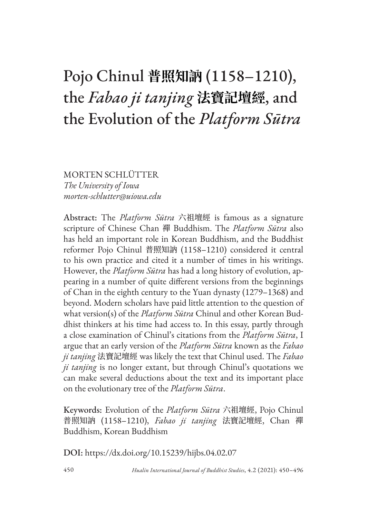# Pojo Chinul **普照知訥** (1158–1210), the *Fabao ji tanjing* **法寶記壇經**, and the Evolution of the *Platform Sūtra*

MORTEN SCHLÜTTER *The University of Iowa morten-schlutter@uiowa.edu*

Abstract: The *Platform Sūtra* 六祖壇經 is famous as a signature scripture of Chinese Chan 禪 Buddhism. The *Platform Sūtra* also has held an important role in Korean Buddhism, and the Buddhist reformer Pojo Chinul 普照知訥 (1158–1210) considered it central to his own practice and cited it a number of times in his writings. However, the *Platform Sūtra* has had a long history of evolution, appearing in a number of quite different versions from the beginnings of Chan in the eighth century to the Yuan dynasty (1279–1368) and beyond. Modern scholars have paid little attention to the question of what version(s) of the *Platform Sūtra* Chinul and other Korean Buddhist thinkers at his time had access to. In this essay, partly through a close examination of Chinul's citations from the *Platform Sūtra*, I argue that an early version of the *Platform Sūtra* known as the *Fabao ji tanjing* 法寶記壇經 was likely the text that Chinul used. The *Fabao ji tanjing* is no longer extant, but through Chinul's quotations we can make several deductions about the text and its important place on the evolutionary tree of the *Platform Sūtra*.

Keywords: Evolution of the *Platform Sūtra* 六祖壇經, Pojo Chinul 普照知訥 (1158–1210), *Fabao ji tanjing* 法寶記壇經, Chan 禪 Buddhism, Korean Buddhism

DOI: https://dx.doi.org/10.15239/hijbs.04.02.07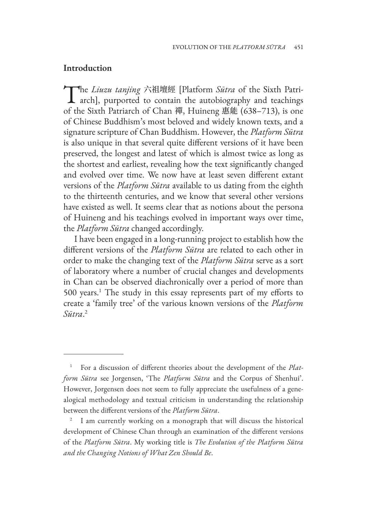## **Introduction**

The *Liuzu tanjing* 六祖壇經 [Platform *Sūtra* of the Sixth Patri-<br>arch], purported to contain the autobiography and teachings of the Sixth Patriarch of Chan 禪, Huineng 惠能 (638–713), is one of Chinese Buddhism's most beloved and widely known texts, and a signature scripture of Chan Buddhism. However, the *Platform Sūtra* is also unique in that several quite different versions of it have been preserved, the longest and latest of which is almost twice as long as the shortest and earliest, revealing how the text significantly changed and evolved over time. We now have at least seven different extant versions of the *Platform Sūtra* available to us dating from the eighth to the thirteenth centuries, and we know that several other versions have existed as well. It seems clear that as notions about the persona of Huineng and his teachings evolved in important ways over time, the *Platform Sūtra* changed accordingly.

I have been engaged in a long-running project to establish how the different versions of the *Platform Sūtra* are related to each other in order to make the changing text of the *Platform Sūtra* serve as a sort of laboratory where a number of crucial changes and developments in Chan can be observed diachronically over a period of more than 500 years.<sup>1</sup> The study in this essay represents part of my efforts to create a 'family tree' of the various known versions of the *Platform Sūtra*. 2

<sup>1</sup> For a discussion of different theories about the development of the *Platform Sūtra* see Jorgensen, 'The *Platform Sūtra* and the Corpus of Shenhui'. However, Jorgensen does not seem to fully appreciate the usefulness of a genealogical methodology and textual criticism in understanding the relationship between the different versions of the *Platform Sūtra*.

<sup>2</sup> I am currently working on a monograph that will discuss the historical development of Chinese Chan through an examination of the different versions of the *Platform Sūtra*. My working title is *The Evolution of the Platform Sūtra and the Changing Notions of What Zen Should Be*.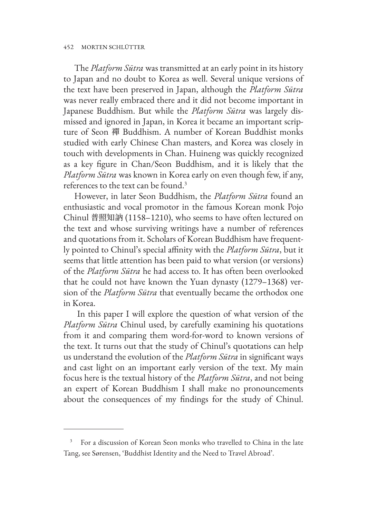#### 452 MORTEN SCHLÜTTER

The *Platform Sūtra* was transmitted at an early point in its history to Japan and no doubt to Korea as well. Several unique versions of the text have been preserved in Japan, although the *Platform Sūtra* was never really embraced there and it did not become important in Japanese Buddhism. But while the *Platform Sūtra* was largely dismissed and ignored in Japan, in Korea it became an important scripture of Seon 禪 Buddhism. A number of Korean Buddhist monks studied with early Chinese Chan masters, and Korea was closely in touch with developments in Chan. Huineng was quickly recognized as a key figure in Chan/Seon Buddhism, and it is likely that the *Platform Sūtra* was known in Korea early on even though few, if any, references to the text can be found.3

However, in later Seon Buddhism, the *Platform Sūtra* found an enthusiastic and vocal promotor in the famous Korean monk Pojo Chinul 普照知訥 (1158–1210), who seems to have often lectured on the text and whose surviving writings have a number of references and quotations from it. Scholars of Korean Buddhism have frequently pointed to Chinul's special affinity with the *Platform Sūtra*, but it seems that little attention has been paid to what version (or versions) of the *Platform Sūtra* he had access to. It has often been overlooked that he could not have known the Yuan dynasty (1279–1368) version of the *Platform Sūtra* that eventually became the orthodox one in Korea.

 In this paper I will explore the question of what version of the *Platform Sūtra* Chinul used, by carefully examining his quotations from it and comparing them word-for-word to known versions of the text. It turns out that the study of Chinul's quotations can help us understand the evolution of the *Platform Sūtra* in significant ways and cast light on an important early version of the text. My main focus here is the textual history of the *Platform Sūtra*, and not being an expert of Korean Buddhism I shall make no pronouncements about the consequences of my findings for the study of Chinul.

<sup>3</sup> For a discussion of Korean Seon monks who travelled to China in the late Tang, see Sørensen, 'Buddhist Identity and the Need to Travel Abroad'.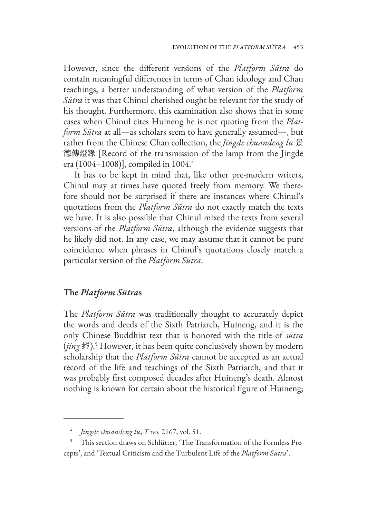However, since the different versions of the *Platform Sūtra* do contain meaningful differences in terms of Chan ideology and Chan teachings, a better understanding of what version of the *Platform Sūtra* it was that Chinul cherished ought be relevant for the study of his thought. Furthermore, this examination also shows that in some cases when Chinul cites Huineng he is not quoting from the *Platform Sūtra* at all—as scholars seem to have generally assumed—, but rather from the Chinese Chan collection, the *Jingde chuandeng lu* 景 德傳燈錄 [Record of the transmission of the lamp from the Jingde era (1004–1008)], compiled in 1004.<sup>4</sup>

It has to be kept in mind that, like other pre-modern writers, Chinul may at times have quoted freely from memory. We therefore should not be surprised if there are instances where Chinul's quotations from the *Platform Sūtra* do not exactly match the texts we have. It is also possible that Chinul mixed the texts from several versions of the *Platform Sūtra*, although the evidence suggests that he likely did not. In any case, we may assume that it cannot be pure coincidence when phrases in Chinul's quotations closely match a particular version of the *Platform Sūtra*.

## **The** *Platform Sūtra***s**

The *Platform Sūtra* was traditionally thought to accurately depict the words and deeds of the Sixth Patriarch, Huineng, and it is the only Chinese Buddhist text that is honored with the title of *sūtra* (*jing* 經).5 However, it has been quite conclusively shown by modern scholarship that the *Platform Sūtra* cannot be accepted as an actual record of the life and teachings of the Sixth Patriarch, and that it was probably first composed decades after Huineng's death. Almost nothing is known for certain about the historical figure of Huineng;

<sup>4</sup> *Jingde chuandeng lu*, *T* no. 2167, vol. 51.

This section draws on Schlütter, 'The Transformation of the Formless Precepts', and 'Textual Criticism and the Turbulent Life of the *Platform Sūtra*'.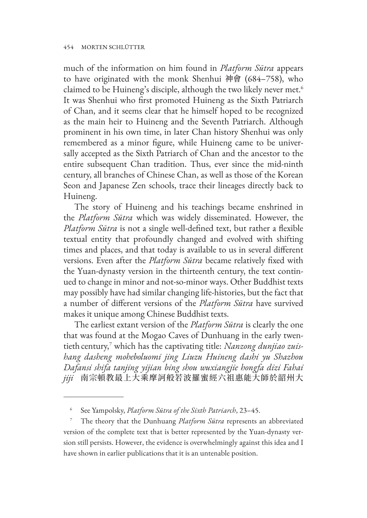much of the information on him found in *Platform Sūtra* appears to have originated with the monk Shenhui 神會 (684–758), who claimed to be Huineng's disciple, although the two likely never met.<sup>6</sup> It was Shenhui who first promoted Huineng as the Sixth Patriarch of Chan, and it seems clear that he himself hoped to be recognized as the main heir to Huineng and the Seventh Patriarch. Although prominent in his own time, in later Chan history Shenhui was only remembered as a minor figure, while Huineng came to be universally accepted as the Sixth Patriarch of Chan and the ancestor to the entire subsequent Chan tradition. Thus, ever since the mid-ninth century, all branches of Chinese Chan, as well as those of the Korean Seon and Japanese Zen schools, trace their lineages directly back to Huineng.

The story of Huineng and his teachings became enshrined in the *Platform Sūtra* which was widely disseminated. However, the *Platform Sūtra* is not a single well-defined text, but rather a flexible textual entity that profoundly changed and evolved with shifting times and places, and that today is available to us in several different versions. Even after the *Platform Sūtra* became relatively fixed with the Yuan-dynasty version in the thirteenth century, the text continued to change in minor and not-so-minor ways. Other Buddhist texts may possibly have had similar changing life-histories, but the fact that a number of different versions of the *Platform Sūtra* have survived makes it unique among Chinese Buddhist texts.

The earliest extant version of the *Platform Sūtra* is clearly the one that was found at the Mogao Caves of Dunhuang in the early twentieth century,7 which has the captivating title: *Nanzong dunjiao zuishang dasheng moheboluomi jing Liuzu Huineng dashi yu Shazhou Dafansi shifa tanjing yijian bing shou wuxiangjie hongfa dizi Fahai jiji* 南宗頓教最上大乘摩訶般若波羅蜜經六祖惠能大師於韶州大

<sup>6</sup> See Yampolsky, *Platform Sūtra of the Sixth Patriarch*, 23–45.

<sup>7</sup> The theory that the Dunhuang *Platform Sūtra* represents an abbreviated version of the complete text that is better represented by the Yuan-dynasty version still persists. However, the evidence is overwhelmingly against this idea and I have shown in earlier publications that it is an untenable position.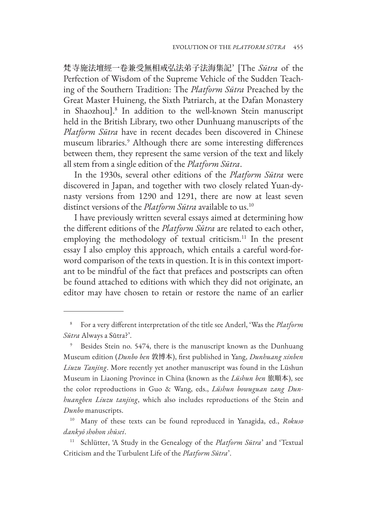梵寺施法壇經一卷兼受無相戒弘法弟子法海集記' [The *Sūtra* of the Perfection of Wisdom of the Supreme Vehicle of the Sudden Teaching of the Southern Tradition: The *Platform Sūtra* Preached by the Great Master Huineng, the Sixth Patriarch, at the Dafan Monastery in Shaozhou].8 In addition to the well-known Stein manuscript held in the British Library, two other Dunhuang manuscripts of the *Platform Sūtra* have in recent decades been discovered in Chinese museum libraries.9 Although there are some interesting differences between them, they represent the same version of the text and likely all stem from a single edition of the *Platform Sūtra*.

In the 1930s, several other editions of the *Platform Sūtra* were discovered in Japan, and together with two closely related Yuan-dynasty versions from 1290 and 1291, there are now at least seven distinct versions of the *Platform Sūtra* available to us.10

I have previously written several essays aimed at determining how the different editions of the *Platform Sūtra* are related to each other, employing the methodology of textual criticism.<sup>11</sup> In the present essay I also employ this approach, which entails a careful word-forword comparison of the texts in question. It is in this context important to be mindful of the fact that prefaces and postscripts can often be found attached to editions with which they did not originate, an editor may have chosen to retain or restore the name of an earlier

<sup>8</sup> For a very different interpretation of the title see Anderl, 'Was the *Platform Sūtra* Always a Sūtra?'.

<sup>9</sup> Besides Stein no. 5474, there is the manuscript known as the Dunhuang Museum edition (*Dunbo ben* 敦博本), first published in Yang, *Dunhuang xinben Liuzu Tanjing*. More recently yet another manuscript was found in the Lüshun Museum in Liaoning Province in China (known as the *Lüshun ben* 旅順本), see the color reproductions in Guo & Wang, eds., *Lüshun bowuguan zang Dunhuangben Liuzu tanjing*, which also includes reproductions of the Stein and *Dunbo* manuscripts.

<sup>10</sup> Many of these texts can be found reproduced in Yanagida, ed., *Rokuso dankyō shohon shūsei*.

<sup>11</sup> Schlütter, 'A Study in the Genealogy of the *Platform Sūtra*' and 'Textual Criticism and the Turbulent Life of the *Platform Sūtra*'.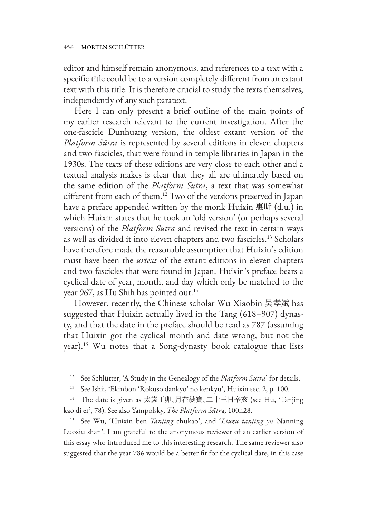editor and himself remain anonymous, and references to a text with a specific title could be to a version completely different from an extant text with this title. It is therefore crucial to study the texts themselves, independently of any such paratext.

Here I can only present a brief outline of the main points of my earlier research relevant to the current investigation. After the one-fascicle Dunhuang version, the oldest extant version of the *Platform Sūtra* is represented by several editions in eleven chapters and two fascicles, that were found in temple libraries in Japan in the 1930s. The texts of these editions are very close to each other and a textual analysis makes is clear that they all are ultimately based on the same edition of the *Platform Sūtra*, a text that was somewhat different from each of them.<sup>12</sup> Two of the versions preserved in Japan have a preface appended written by the monk Huixin 惠昕 (d.u.) in which Huixin states that he took an 'old version' (or perhaps several versions) of the *Platform Sūtra* and revised the text in certain ways as well as divided it into eleven chapters and two fascicles.13 Scholars have therefore made the reasonable assumption that Huixin's edition must have been the *urtext* of the extant editions in eleven chapters and two fascicles that were found in Japan. Huixin's preface bears a cyclical date of year, month, and day which only be matched to the year 967, as Hu Shih has pointed out.<sup>14</sup>

However, recently, the Chinese scholar Wu Xiaobin 吴孝斌 has suggested that Huixin actually lived in the Tang (618–907) dynasty, and that the date in the preface should be read as 787 (assuming that Huixin got the cyclical month and date wrong, but not the year).15 Wu notes that a Song-dynasty book catalogue that lists

<sup>12</sup> See Schlütter, 'A Study in the Genealogy of the *Platform Sūtra*' for details.

<sup>13</sup> See Ishii, 'Ekinbon 'Rokuso dankyō' no kenkyū', Huixin sec. 2, p. 100.

<sup>14</sup> The date is given as 太歲丁卯、月在蕤賓、二十三日辛亥 (see Hu, 'Tanjing kao di er', 78). See also Yampolsky, *The Platform Sūtr*a, 100n28.

<sup>15</sup> See Wu, 'Huixin ben *Tanjing* chukao', and '*Liuzu tanjing yu* Nanning Luoxiu shan'. I am grateful to the anonymous reviewer of an earlier version of this essay who introduced me to this interesting research. The same reviewer also suggested that the year 786 would be a better fit for the cyclical date; in this case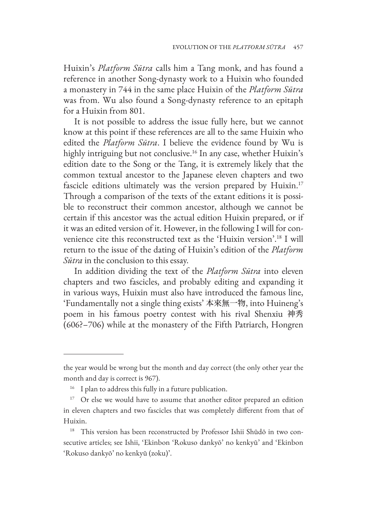Huixin's *Platform Sūtra* calls him a Tang monk, and has found a reference in another Song-dynasty work to a Huixin who founded a monastery in 744 in the same place Huixin of the *Platform Sūtra* was from. Wu also found a Song-dynasty reference to an epitaph for a Huixin from 801.

It is not possible to address the issue fully here, but we cannot know at this point if these references are all to the same Huixin who edited the *Platform Sūtra*. I believe the evidence found by Wu is highly intriguing but not conclusive.<sup>16</sup> In any case, whether Huixin's edition date to the Song or the Tang, it is extremely likely that the common textual ancestor to the Japanese eleven chapters and two fascicle editions ultimately was the version prepared by Huixin.<sup>17</sup> Through a comparison of the texts of the extant editions it is possible to reconstruct their common ancestor, although we cannot be certain if this ancestor was the actual edition Huixin prepared, or if it was an edited version of it. However, in the following I will for convenience cite this reconstructed text as the 'Huixin version'.18 I will return to the issue of the dating of Huixin's edition of the *Platform Sūtra* in the conclusion to this essay.

In addition dividing the text of the *Platform Sūtra* into eleven chapters and two fascicles, and probably editing and expanding it in various ways, Huixin must also have introduced the famous line, 'Fundamentally not a single thing exists' 本來無一物, into Huineng's poem in his famous poetry contest with his rival Shenxiu 神秀 (606?–706) while at the monastery of the Fifth Patriarch, Hongren

the year would be wrong but the month and day correct (the only other year the month and day is correct is 967).

<sup>&</sup>lt;sup>16</sup> I plan to address this fully in a future publication.

<sup>&</sup>lt;sup>17</sup> Or else we would have to assume that another editor prepared an edition in eleven chapters and two fascicles that was completely different from that of Huixin.

<sup>&</sup>lt;sup>18</sup> This version has been reconstructed by Professor Ishii Shūdō in two consecutive articles; see Ishii, 'Ekinbon 'Rokuso dankyō' no kenkyū' and 'Ekinbon 'Rokuso dankyō' no kenkyū (zoku)'.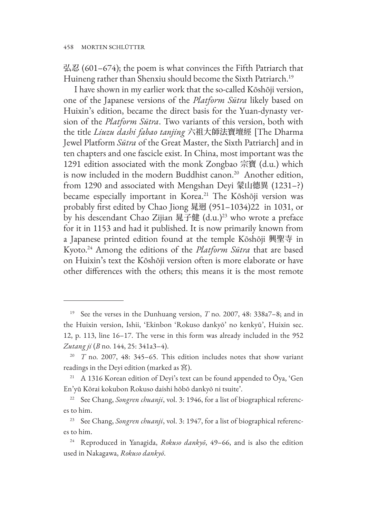弘忍 (601–674); the poem is what convinces the Fifth Patriarch that Huineng rather than Shenxiu should become the Sixth Patriarch.<sup>19</sup>

I have shown in my earlier work that the so-called Kōshōji version, one of the Japanese versions of the *Platform Sūtra* likely based on Huixin's edition, became the direct basis for the Yuan-dynasty version of the *Platform Sūtra*. Two variants of this version, both with the title *Liuzu dashi fabao tanjing* 六祖大師法寶壇經 [The Dharma Jewel Platform *Sūtra* of the Great Master, the Sixth Patriarch] and in ten chapters and one fascicle exist. In China, most important was the 1291 edition associated with the monk Zongbao 宗寶 (d.u.) which is now included in the modern Buddhist canon.<sup>20</sup> Another edition, from 1290 and associated with Mengshan Deyi 蒙山德異 (1231–?) became especially important in Korea.<sup>21</sup> The Kōshōji version was probably first edited by Chao Jiong 晁迥 (951–1034)22 in 1031, or by his descendant Chao Zijian 晁子健 (d.u.)<sup>23</sup> who wrote a preface for it in 1153 and had it published. It is now primarily known from a Japanese printed edition found at the temple Kōshōji 興聖寺 in Kyoto.24 Among the editions of the *Platform Sūtra* that are based on Huixin's text the Kōshōji version often is more elaborate or have other differences with the others; this means it is the most remote

<sup>19</sup> See the verses in the Dunhuang version, *T* no. 2007, 48: 338a7–8; and in the Huixin version, Ishii, 'Ekinbon 'Rokuso dankyō' no kenkyū', Huixin sec. 12, p. 113, line 16–17. The verse in this form was already included in the 952 *Zutang ji* (*B* no. 144, 25: 341a3–4).

<sup>&</sup>lt;sup>20</sup> *T* no. 2007, 48: 345-65. This edition includes notes that show variant readings in the Deyi edition (marked as 宮).

<sup>&</sup>lt;sup>21</sup> A 1316 Korean edition of Deyi's text can be found appended to  $\bar{O}$ ya, 'Gen En'yū Kōrai kokubon Rokuso daishi hōbō dankyō ni tsuite'.

<sup>&</sup>lt;sup>22</sup> See Chang, *Songren chuanji*, vol. 3: 1946, for a list of biographical references to him.

<sup>23</sup> See Chang, *Songren chuanji*, vol. 3: 1947, for a list of biographical references to him.

<sup>24</sup> Reproduced in Yanagida, *Rokuso dankyō*, 49–66, and is also the edition used in Nakagawa, *Rokuso dankyō*.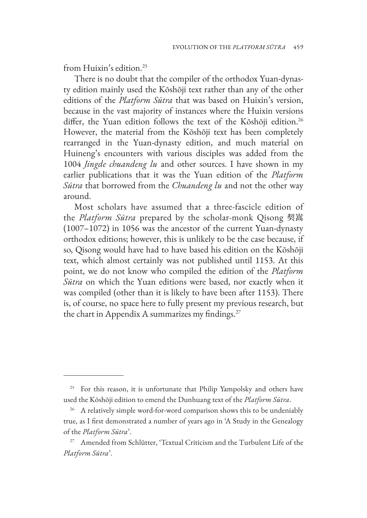from Huixin's edition.<sup>25</sup>

There is no doubt that the compiler of the orthodox Yuan-dynasty edition mainly used the Kōshōji text rather than any of the other editions of the *Platform Sūtra* that was based on Huixin's version, because in the vast majority of instances where the Huixin versions differ, the Yuan edition follows the text of the Kōshōji edition.<sup>26</sup> However, the material from the Kōshōji text has been completely rearranged in the Yuan-dynasty edition, and much material on Huineng's encounters with various disciples was added from the 1004 *Jingde chuandeng lu* and other sources. I have shown in my earlier publications that it was the Yuan edition of the *Platform Sūtra* that borrowed from the *Chuandeng lu* and not the other way around.

Most scholars have assumed that a three-fascicle edition of the *Platform Sūtra* prepared by the scholar-monk Qisong 契嵩 (1007–1072) in 1056 was the ancestor of the current Yuan-dynasty orthodox editions; however, this is unlikely to be the case because, if so, Qisong would have had to have based his edition on the Kōshōji text, which almost certainly was not published until 1153. At this point, we do not know who compiled the edition of the *Platform Sūtra* on which the Yuan editions were based, nor exactly when it was compiled (other than it is likely to have been after 1153). There is, of course, no space here to fully present my previous research, but the chart in Appendix A summarizes my findings.<sup>27</sup>

<sup>&</sup>lt;sup>25</sup> For this reason, it is unfortunate that Philip Yampolsky and others have used the Kōshōji edition to emend the Dunhuang text of the *Platform Sūtra*.

<sup>&</sup>lt;sup>26</sup> A relatively simple word-for-word comparison shows this to be undeniably true, as I first demonstrated a number of years ago in 'A Study in the Genealogy of the *Platform Sūtra*'.

Amended from Schlütter, 'Textual Criticism and the Turbulent Life of the *Platform Sūtra*'.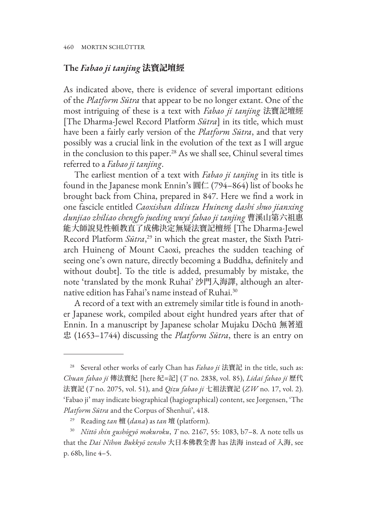## **The** *Fabao ji tanjing* 法寶記壇經

As indicated above, there is evidence of several important editions of the *Platform Sūtra* that appear to be no longer extant. One of the most intriguing of these is a text with *Fabao ji tanjing* 法寶記壇經 [The Dharma-Jewel Record Platform *Sūtra*] in its title, which must have been a fairly early version of the *Platform Sūtra*, and that very possibly was a crucial link in the evolution of the text as I will argue in the conclusion to this paper.<sup>28</sup> As we shall see, Chinul several times referred to a *Fabao ji tanjing*.

The earliest mention of a text with *Fabao ji tanjing* in its title is found in the Japanese monk Ennin's 圓仁 (794–864) list of books he brought back from China, prepared in 847. Here we find a work in one fascicle entitled *Caoxishan diliuzu Huineng dashi shuo jianxing dunjiao zhiliao chengfo jueding wuyi fabao ji tanjing* 曹溪山第六祖惠 能大師說見性頓教直了成佛決定無疑法寶記檀經 [The Dharma-Jewel Record Platform *Sūtra*, 29 in which the great master, the Sixth Patriarch Huineng of Mount Caoxi, preaches the sudden teaching of seeing one's own nature, directly becoming a Buddha, definitely and without doubt]. To the title is added, presumably by mistake, the note 'translated by the monk Ruhai' 沙門入海譯, although an alternative edition has Fahai's name instead of Ruhai.<sup>30</sup>

A record of a text with an extremely similar title is found in another Japanese work, compiled about eight hundred years after that of Ennin. In a manuscript by Japanese scholar Mujaku Dōchū 無著道 忠 (1653–1744) discussing the *Platform Sūtra*, there is an entry on

<sup>28</sup> Several other works of early Chan has *Fabao ji* 法寶記 in the title, such as: *Chuan fabao ji* 傳法寶紀 [here 紀=記] (*T* no. 2838, vol. 85), *Lidai fabao ji* 歷代 法寶記 (*T* no. 2075, vol. 51), and *Qizu fabao ji* 七祖法寶記 (*ZW* no. 17, vol. 2). 'Fabao ji' may indicate biographical (hagiographical) content, see Jorgensen, 'The *Platform Sūtra* and the Corpus of Shenhui', 418.

<sup>29</sup> Reading *tan* 檀 (*dana*) as *tan* 壇 (platform).

<sup>30</sup> *Nittō shin gushōgyō mokuroku*, *T* no. 2167, 55: 1083, b7–8. A note tells us that the *Dai Nihon Bukkyō zensho* 大日本佛教全書 has 法海 instead of 入海, see p. 68b, line 4–5.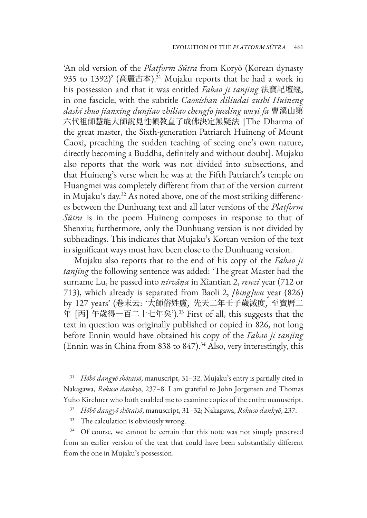'An old version of the *Platform Sūtra* from Koryŏ (Korean dynasty 935 to 1392)' (高麗古本).<sup>31</sup> Mujaku reports that he had a work in his possession and that it was entitled *Fabao ji tanjing* 法寶記壇經, in one fascicle, with the subtitle *Caoxishan diliudai zushi Huineng dashi shuo jianxing dunjiao zhiliao chengfo jueding wuyi fa* 曹溪山第 六代祖師慧能大師說見性頓教直了成佛決定無疑法 [The Dharma of the great master, the Sixth-generation Patriarch Huineng of Mount Caoxi, preaching the sudden teaching of seeing one's own nature, directly becoming a Buddha, definitely and without doubt]. Mujaku also reports that the work was not divided into subsections, and that Huineng's verse when he was at the Fifth Patriarch's temple on Huangmei was completely different from that of the version current in Mujaku's day.32 As noted above, one of the most striking differences between the Dunhuang text and all later versions of the *Platform Sūtra* is in the poem Huineng composes in response to that of Shenxiu; furthermore, only the Dunhuang version is not divided by subheadings. This indicates that Mujaku's Korean version of the text in significant ways must have been close to the Dunhuang version.

Mujaku also reports that to the end of his copy of the *Fabao ji tanjing* the following sentence was added: 'The great Master had the surname Lu, he passed into *nirvāṇa* in Xiantian 2, *renzi* year (712 or 713), which already is separated from Baoli 2, *[bing]wu* year (826) by 127 years' (卷末云: '大師俗姓盧, 先天二年壬子歲滅度, 至寶曆二 年 [丙] 午歲得一百二十七年矣').33 First of all, this suggests that the text in question was originally published or copied in 826, not long before Ennin would have obtained his copy of the *Fabao ji tanjing*  (Ennin was in China from 838 to 847).<sup>34</sup> Also, very interestingly, this

<sup>31</sup> *Hōbō dangyō shōtaisō*, manuscript, 31–32. Mujaku's entry is partially cited in Nakagawa, *Rokuso dankyō*, 237–8. I am grateful to John Jorgensen and Thomas Yuho Kirchner who both enabled me to examine copies of the entire manuscript.

<sup>32</sup> *Hōbō dangyō shōtaisō*, manuscript, 31–32; Nakagawa, *Rokuso dankyō*, 237.

<sup>&</sup>lt;sup>33</sup> The calculation is obviously wrong.

Of course, we cannot be certain that this note was not simply preserved from an earlier version of the text that could have been substantially different from the one in Mujaku's possession.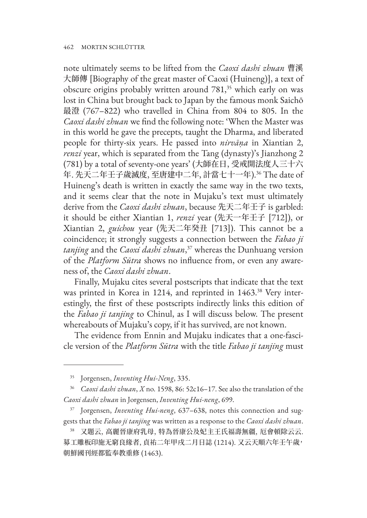note ultimately seems to be lifted from the *Caoxi dashi zhuan* 曹溪 大師傳 [Biography of the great master of Caoxi (Huineng)], a text of obscure origins probably written around 781,<sup>35</sup> which early on was lost in China but brought back to Japan by the famous monk Saichō 最澄 (767–822) who travelled in China from 804 to 805. In the *Caoxi dashi zhuan* we find the following note: 'When the Master was in this world he gave the precepts, taught the Dharma, and liberated people for thirty-six years. He passed into *nirvāṇa* in Xiantian 2, *renzi* year, which is separated from the Tang (dynasty)'s Jianzhong 2 (781) by a total of seventy-one years' (大師在日, 受戒開法度人三十六 年. 先天二年壬子歲滅度, 至唐建中二年, 計當七十一年).36 The date of Huineng's death is written in exactly the same way in the two texts, and it seems clear that the note in Mujaku's text must ultimately derive from the *Caoxi dashi zhuan*, because 先天二年壬子 is garbled: it should be either Xiantian 1, *renzi* year (先天一年壬子 [712]), or Xiantian 2, *guichou* year (先天二年癸丑 [713]). This cannot be a coincidence; it strongly suggests a connection between the *Fabao ji tanjing* and the *Caoxi dashi zhuan*, 37 whereas the Dunhuang version of the *Platform Sūtra* shows no influence from, or even any awareness of, the *Caoxi dashi zhuan*.

Finally, Mujaku cites several postscripts that indicate that the text was printed in Korea in 1214, and reprinted in 1463.<sup>38</sup> Very interestingly, the first of these postscripts indirectly links this edition of the *Fabao ji tanjing* to Chinul, as I will discuss below. The present whereabouts of Mujaku's copy, if it has survived, are not known.

The evidence from Ennin and Mujaku indicates that a one-fascicle version of the *Platform Sūtra* with the title *Fabao ji tanjing* must

<sup>35</sup> Jorgensen, *Inventing Hui-Neng*, 335.

<sup>36</sup> *Caoxi dashi zhuan*, *X* no. 1598, 86: 52c16–17. See also the translation of the *Caoxi dashi zhuan* in Jorgensen, *Inventing Hui-neng*, 699.

<sup>37</sup> Jorgensen, *Inventing Hui-neng*, 637–638, notes this connection and suggests that the *Fabao ji tanjing* was written as a response to the *Caoxi dashi zhuan*.

<sup>38</sup> 又題云, 高麗晉康府乳母, 特為晉康公及妃主王氏福壽無疆, 厄會頓除云云. 募工雕板印施无窮良緣者, 貞祐二年甲戌二月日誌 (1214). 又云天順六年壬午歲, 朝鮮國刊經都監奉教重修 (1463).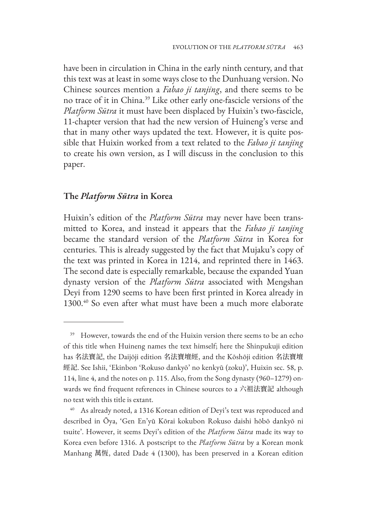have been in circulation in China in the early ninth century, and that this text was at least in some ways close to the Dunhuang version. No Chinese sources mention a *Fabao ji tanjing*, and there seems to be no trace of it in China.39 Like other early one-fascicle versions of the *Platform Sūtra* it must have been displaced by Huixin's two-fascicle, 11-chapter version that had the new version of Huineng's verse and that in many other ways updated the text. However, it is quite possible that Huixin worked from a text related to the *Fabao ji tanjing*  to create his own version, as I will discuss in the conclusion to this paper.

### **The** *Platform Sūtra* **in Korea**

Huixin's edition of the *Platform Sūtra* may never have been transmitted to Korea, and instead it appears that the *Fabao ji tanjing*  became the standard version of the *Platform Sūtra* in Korea for centuries. This is already suggested by the fact that Mujaku's copy of the text was printed in Korea in 1214, and reprinted there in 1463. The second date is especially remarkable, because the expanded Yuan dynasty version of the *Platform Sūtra* associated with Mengshan Deyi from 1290 seems to have been first printed in Korea already in 1300.40 So even after what must have been a much more elaborate

<sup>&</sup>lt;sup>39</sup> However, towards the end of the Huixin version there seems to be an echo of this title when Huineng names the text himself; here the Shinpukuji edition has 名法寶記, the Daijōji edition 名法寶壇經, and the Kōshōji edition 名法寶壇 經記. See Ishii, 'Ekinbon 'Rokuso dankyō' no kenkyū (zoku)', Huixin sec. 58, p. 114, line 4, and the notes on p. 115. Also, from the Song dynasty (960–1279) onwards we find frequent references in Chinese sources to a 六祖法寳記 although no text with this title is extant.

<sup>40</sup> As already noted, a 1316 Korean edition of Deyi's text was reproduced and described in Ōya, 'Gen En'yū Kōrai kokubon Rokuso daishi hōbō dankyō ni tsuite'. However, it seems Deyi's edition of the *Platform Sūtra* made its way to Korea even before 1316. A postscript to the *Platform Sūtra* by a Korean monk Manhang 萬恆, dated Dade 4 (1300), has been preserved in a Korean edition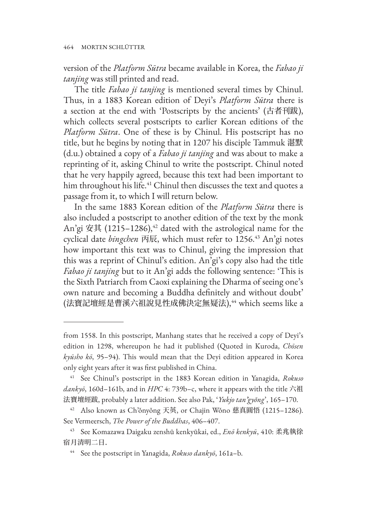version of the *Platform Sūtra* became available in Korea, the *Fabao ji tanjing* was still printed and read.

The title *Fabao ji tanjing* is mentioned several times by Chinul. Thus, in a 1883 Korean edition of Deyi's *Platform Sūtra* there is a section at the end with 'Postscripts by the ancients' (古者刊跋), which collects several postscripts to earlier Korean editions of the *Platform Sūtra*. One of these is by Chinul. His postscript has no title, but he begins by noting that in 1207 his disciple Tammuk 湛默 (d.u.) obtained a copy of a *Fabao ji tanjing* and was about to make a reprinting of it, asking Chinul to write the postscript. Chinul noted that he very happily agreed, because this text had been important to him throughout his life.<sup>41</sup> Chinul then discusses the text and quotes a passage from it, to which I will return below.

In the same 1883 Korean edition of the *Platform Sūtra* there is also included a postscript to another edition of the text by the monk An'gi 安其 (1215–1286),<sup>42</sup> dated with the astrological name for the cyclical date *bingchen* 丙辰, which must refer to 1256.43 An'gi notes how important this text was to Chinul, giving the impression that this was a reprint of Chinul's edition. An'gi's copy also had the title *Fabao ji tanjing* but to it An'gi adds the following sentence: 'This is the Sixth Patriarch from Caoxi explaining the Dharma of seeing one's own nature and becoming a Buddha definitely and without doubt' (法寶記壇經是曹溪六祖說見性成佛決定無疑法),44 which seems like a

from 1558. In this postscript, Manhang states that he received a copy of Deyi's edition in 1298, whereupon he had it published (Quoted in Kuroda, *Chōsen kyūsho kō*, 95–94). This would mean that the Deyi edition appeared in Korea only eight years after it was first published in China.

<sup>41</sup> See Chinul's postscript in the 1883 Korean edition in Yanagida, *Rokuso dankyō*, 160d–161b, and in *HPC* 4: 739b–c, where it appears with the title 六祖 法寶壇經跋, probably a later addition. See also Pak, '*Yukjo tan'gyŏng*', 165–170.

<sup>42</sup> Also known as Ch'ǒnyǒng 天英, or Chajin Wǒno 慈真圓悟 (1215–1286). See Vermeersch, *The Power of the Buddhas*, 406–407.

<sup>43</sup> See Komazawa Daigaku zenshū kenkyūkai, ed., *Enō kenkyū*, 410: 柔兆執徐 宿月清明二日.

<sup>44</sup> See the postscript in Yanagida, *Rokuso dankyō*, 161a–b.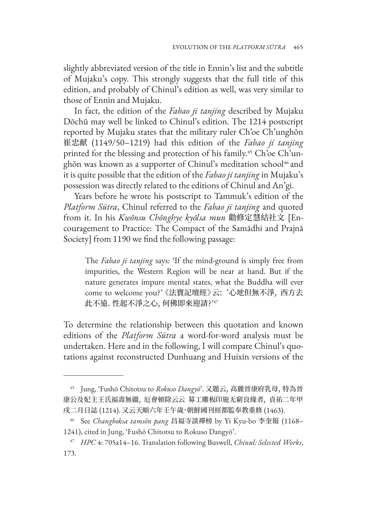slightly abbreviated version of the title in Ennin's list and the subtitle of Mujaku's copy. This strongly suggests that the full title of this edition, and probably of Chinul's edition as well, was very similar to those of Ennin and Mujaku.

In fact, the edition of the *Fabao ji tanjing* described by Mujaku Dōchū may well be linked to Chinul's edition. The 1214 postscript reported by Mujaku states that the military ruler Ch'oe Ch'unghǒn 崔忠献 (1149/50–1219) had this edition of the *Fabao ji tanjing* printed for the blessing and protection of his family.<sup>45</sup> Ch'oe Ch'unghŏn was known as a supporter of Chinul's meditation school<sup>46</sup> and it is quite possible that the edition of the *Fabao ji tanjing* in Mujaku's possession was directly related to the editions of Chinul and An'gi.

Years before he wrote his postscript to Tammuk's edition of the *Platform Sūtra*, Chinul referred to the *Fabao ji tanjing* and quoted from it. In his *Kwŏnsu Chŏnghye kyŏlsa mun* 勸修定慧結社文 [Encouragement to Practice: The Compact of the Samādhi and Prajnā Society] from 1190 we find the following passage:

The *Fabao ji tanjing* says: 'If the mind-ground is simply free from impurities, the Western Region will be near at hand. But if the nature generates impure mental states, what the Buddha will ever come to welcome you?' 《法寶記壇經》云: '心地但無不淨, 西方去 此不遠. 性起不淨之心, 何佛即來迎請?'47

To determine the relationship between this quotation and known editions of the *Platform Sūtra* a word-for-word analysis must be undertaken. Here and in the following, I will compare Chinul's quotations against reconstructed Dunhuang and Huixin versions of the

<sup>45</sup> Jung, 'Fushō Chitotsu to *Rokuso Dangyō*'. 又題云, 高麗晉康府乳母, 特為晉 康公及妃主王氏福壽無疆, 厄會頓除云云 募工雕板印施无窮良緣者, 貞祐二年甲 戌二月日誌 (1214). 又云天順六年壬午歲,朝鮮國刊經都監奉教重修 (1463).

<sup>46</sup> See *Changboksa tamsǒn pang* 昌福寺談禪榜 by Yi Kyu-bo 李奎報 (1168– 1241), cited in Jung, 'Fushō Chitotsu to Rokuso Dangyō'.

<sup>47</sup> *HPC* 4: 705a14–16. Translation following Buswell, *Chinul: Selected Works*, 173.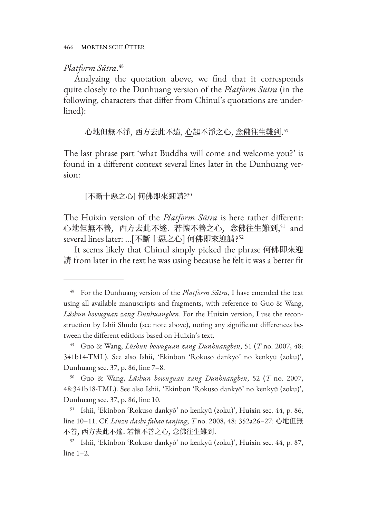# *Platform Sūtra*. 48

Analyzing the quotation above, we find that it corresponds quite closely to the Dunhuang version of the *Platform Sūtra* (in the following, characters that differ from Chinul's quotations are underlined):

心地但無不淨, 西方去此不遠, <u>心</u>起不淨之心, <u>念佛往生難到</u>."

The last phrase part 'what Buddha will come and welcome you?' is found in a different context several lines later in the Dunhuang version:

## [不斷十惡之心] 何佛即來迎請?<sup>50</sup>

The Huixin version of the *Platform Sūtra* is here rather different: 心地但無不<u>善</u>,西方去此不<u>遙,若懷不善之心,念佛往生難到</u>,<sup>31</sup> and several lines later: ...[不斷十惡之心] 何佛即來迎請?<sup>52</sup>

It seems likely that Chinul simply picked the phrase 何佛即來迎 請 from later in the text he was using because he felt it was a better fit

<sup>48</sup> For the Dunhuang version of the *Platform Sūtra*, I have emended the text using all available manuscripts and fragments, with reference to Guo & Wang, *Lüshun bowuguan zang Dunhuangben*. For the Huixin version, I use the reconstruction by Ishii Shūdō (see note above), noting any significant differences between the different editions based on Huixin's text.

<sup>49</sup> Guo & Wang, *Lüshun bowuguan zang Dunhuangben*, 51 (*T* no. 2007, 48: 341b14-TML). See also Ishii, 'Ekinbon 'Rokuso dankyō' no kenkyū (zoku)', Dunhuang sec. 37, p. 86, line 7–8.

<sup>50</sup> Guo & Wang, *Lüshun bowuguan zang Dunhuangben*, 52 (*T* no. 2007, 48:341b18-TML). See also Ishii, 'Ekinbon 'Rokuso dankyō' no kenkyū (zoku)', Dunhuang sec. 37, p. 86, line 10.

<sup>51</sup> Ishii, 'Ekinbon 'Rokuso dankyō' no kenkyū (zoku)', Huixin sec. 44, p. 86, line 10–11. Cf. *Liuzu dashi fabao tanjing*, *T* no. 2008, 48: 352a26–27: 心地但無 不善, 西方去此不遙. 若懷不善之心, 念佛往生難到.

<sup>52</sup> Ishii, 'Ekinbon 'Rokuso dankyō' no kenkyū (zoku)', Huixin sec. 44, p. 87, line 1–2.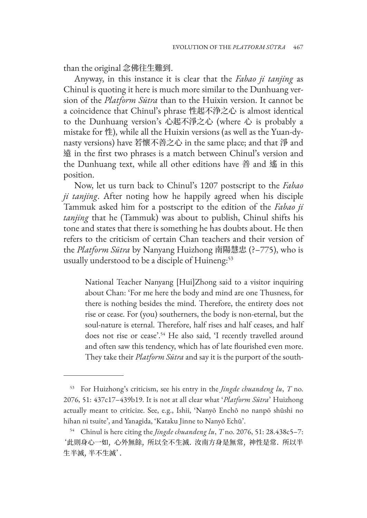than the original 念佛往生難到.

Anyway, in this instance it is clear that the *Fabao ji tanjing* as Chinul is quoting it here is much more similar to the Dunhuang version of the *Platform Sūtra* than to the Huixin version. It cannot be a coincidence that Chinul's phrase 性起不浄之心 is almost identical to the Dunhuang version's 心起不淨之心 (where 心 is probably a mistake for 性), while all the Huixin versions (as well as the Yuan-dynasty versions) have 若懷不善之心 in the same place; and that 淨 and 遠 in the first two phrases is a match between Chinul's version and the Dunhuang text, while all other editions have 善 and 遙 in this position.

Now, let us turn back to Chinul's 1207 postscript to the *Fabao ji tanjing*. After noting how he happily agreed when his disciple Tammuk asked him for a postscript to the edition of the *Fabao ji tanjing* that he (Tammuk) was about to publish, Chinul shifts his tone and states that there is something he has doubts about. He then refers to the criticism of certain Chan teachers and their version of the *Platform Sūtra* by Nanyang Huizhong 南陽慧忠 (?–775), who is usually understood to be a disciple of Huineng:<sup>53</sup>

National Teacher Nanyang [Hui]Zhong said to a visitor inquiring about Chan: 'For me here the body and mind are one Thusness, for there is nothing besides the mind. Therefore, the entirety does not rise or cease. For (you) southerners, the body is non-eternal, but the soul-nature is eternal. Therefore, half rises and half ceases, and half does not rise or cease'.<sup>54</sup> He also said, 'I recently travelled around and often saw this tendency, which has of late flourished even more. They take their *Platform Sūtra* and say it is the purport of the south-

<sup>53</sup> For Huizhong's criticism, see his entry in the *Jingde chuandeng lu*, *T* no. 2076, 51: 437c17–439b19. It is not at all clear what '*Platform Sūtra*' Huizhong actually meant to criticize. See, e.g., Ishii, 'Nanyō Enchō no nanpō shūshi no hihan ni tsuite', and Yanagida, 'Kataku Jinne to Nanyō Echū'.

<sup>54</sup> Chinul is here citing the *Jingde chuandeng lu*, *T* no. 2076, 51: 28.438c5–7: '此則身心一如, 心外無餘, 所以全不生滅. 汝南方身是無常, 神性是常. 所以半 生半滅, 半不生滅'.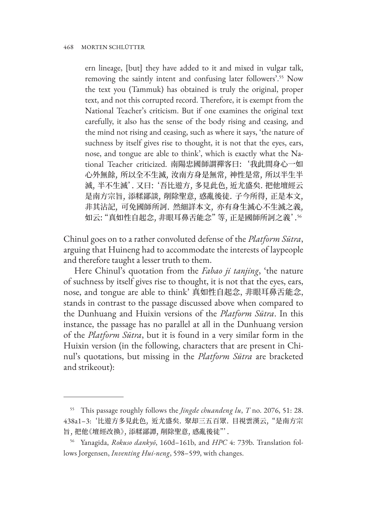ern lineage, [but] they have added to it and mixed in vulgar talk, removing the saintly intent and confusing later followers'.55 Now the text you (Tammuk) has obtained is truly the original, proper text, and not this corrupted record. Therefore, it is exempt from the National Teacher's criticism. But if one examines the original text carefully, it also has the sense of the body rising and ceasing, and the mind not rising and ceasing, such as where it says, 'the nature of suchness by itself gives rise to thought, it is not that the eyes, ears, nose, and tongue are able to think', which is exactly what the National Teacher criticized. 南陽忠國師謂禪客曰: '我此間身心一如 心外無餘, 所以全不生滅, 汝南方身是無常, 神性是常, 所以半生半 滅, 半不生滅'. 又曰: '吾比遊方, 多見此色, 近尤盛矣. 把他壇經云 是南方宗旨, 添糅鄙談, 削除聖意, 惑亂後徒. 子今所得, 正是本文, 非其沾記, 可免國師所訶. 然細詳本文, 亦有身生滅心不生滅之義, 如云: "真如性自起念, 非眼耳鼻舌能念" 等, 正是國師所訶之義'.<sup>56</sup>

Chinul goes on to a rather convoluted defense of the *Platform Sūtra*, arguing that Huineng had to accommodate the interests of laypeople and therefore taught a lesser truth to them.

Here Chinul's quotation from the *Fabao ji tanjing*, 'the nature of suchness by itself gives rise to thought, it is not that the eyes, ears, nose, and tongue are able to think' 真如性自起念, 非眼耳鼻舌能念, stands in contrast to the passage discussed above when compared to the Dunhuang and Huixin versions of the *Platform Sūtra*. In this instance, the passage has no parallel at all in the Dunhuang version of the *Platform Sūtra*, but it is found in a very similar form in the Huixin version (in the following, characters that are present in Chinul's quotations, but missing in the *Platform Sūtra* are bracketed and strikeout):

<sup>55</sup> This passage roughly follows the *Jingde chuandeng lu*, *T* no. 2076, 51: 28. 438a1–3: '比遊方多見此色, 近尤盛矣. 聚却三五百眾. 目視雲漢云, "是南方宗 旨, 把他《壇經改換》, 添糅鄙譚, 削除聖意, 惑亂後徒"'.

<sup>56</sup> Yanagida, *Rokuso dankyō*, 160d–161b, and *HPC* 4: 739b. Translation follows Jorgensen, *Inventing Hui-neng*, 598–599, with changes.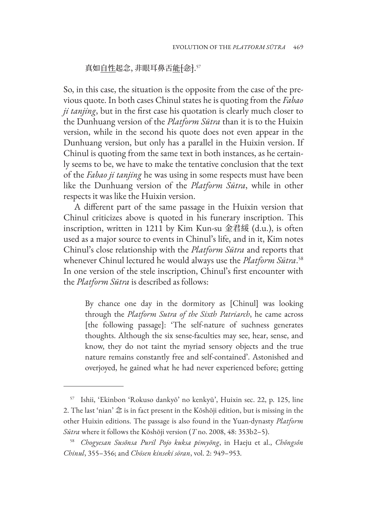# 真如<u>自性</u>起念, 非眼耳鼻舌<u>能</u><del>[念]</del>.57

So, in this case, the situation is the opposite from the case of the previous quote. In both cases Chinul states he is quoting from the *Fabao ji tanjing*, but in the first case his quotation is clearly much closer to the Dunhuang version of the *Platform Sūtra* than it is to the Huixin version, while in the second his quote does not even appear in the Dunhuang version, but only has a parallel in the Huixin version. If Chinul is quoting from the same text in both instances, as he certainly seems to be, we have to make the tentative conclusion that the text of the *Fabao ji tanjing* he was using in some respects must have been like the Dunhuang version of the *Platform Sūtra*, while in other respects it was like the Huixin version.

A different part of the same passage in the Huixin version that Chinul criticizes above is quoted in his funerary inscription. This inscription, written in 1211 by Kim Kun-su 金君綏 (d.u.), is often used as a major source to events in Chinul's life, and in it, Kim notes Chinul's close relationship with the *Platform Sūtra* and reports that whenever Chinul lectured he would always use the *Platform Sūtra*. 58 In one version of the stele inscription, Chinul's first encounter with the *Platform Sūtra* is described as follows:

By chance one day in the dormitory as [Chinul] was looking through the *Platform Sutra of the Sixth Patriarch*, he came across [the following passage]: 'The self-nature of suchness generates thoughts. Although the six sense-faculties may see, hear, sense, and know, they do not taint the myriad sensory objects and the true nature remains constantly free and self-contained'. Astonished and overjoyed, he gained what he had never experienced before; getting

<sup>57</sup> Ishii, 'Ekinbon 'Rokuso dankyō' no kenkyū', Huixin sec. 22, p. 125, line 2. The last 'nian' 念 is in fact present in the Kōshōji edition, but is missing in the other Huixin editions. The passage is also found in the Yuan-dynasty *Platform Sūtra* where it follows the Kōshōji version (*T* no. 2008, 48: 353b2–5).

<sup>58</sup> *Chogyesan Susŏnsa Puril Pojo kuksa pimyŏng*, in Haeju et al., *Chǒngsǒn Chinul*, 355–356; and *Chōsen kinseki sōran*, vol. 2: 949–953.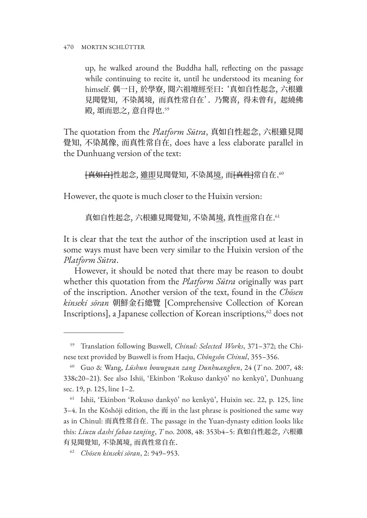up, he walked around the Buddha hall, reflecting on the passage while continuing to recite it, until he understood its meaning for himself. 偶一日, 於學寮, 閱六祖壇經至曰: '真如自性起念, 六根雖 見聞覺知, 不染萬境, 而真性常自在'. 乃驚喜, 得未曾有, 起繞佛 殿, 頌而思之, 意自得也. 59

The quotation from the *Platform Sūtra*, 真如自性起念, 六根雖見聞 覺知, 不染萬像, 而真性常自在, does have a less elaborate parallel in the Dunhuang version of the text:

[<del>真如自]</del>性起念, 雖即見聞覺知, 不染萬境, 而<del>[真性]</del>常自在.<sup>60</sup>

However, the quote is much closer to the Huixin version:

真如自性起念, 六根雖見聞覺知, 不染萬<u>境</u>, 真性<u>而</u>常自在.<sup>61</sup>

It is clear that the text the author of the inscription used at least in some ways must have been very similar to the Huixin version of the *Platform Sūtra*.

However, it should be noted that there may be reason to doubt whether this quotation from the *Platform Sūtra* originally was part of the inscription. Another version of the text, found in the *Chōsen kinseki sōran* 朝鮮金石總覽 [Comprehensive Collection of Korean Inscriptions], a Japanese collection of Korean inscriptions,<sup>62</sup> does not

<sup>59</sup> Translation following Buswell, *Chinul: Selected Works*, 371–372; the Chinese text provided by Buswell is from Haeju, *Chǒngsǒn Chinul*, 355–356.

<sup>60</sup> Guo & Wang, *Lüshun bowuguan zang Dunhuangben*, 24 (*T* no. 2007, 48: 338c20–21). See also Ishii, 'Ekinbon 'Rokuso dankyō' no kenkyū', Dunhuang sec. 19, p. 125, line 1–2.

<sup>61</sup> Ishii, 'Ekinbon 'Rokuso dankyō' no kenkyū', Huixin sec. 22, p. 125, line 3–4. In the Kōshōji edition, the 而 in the last phrase is positioned the same way as in Chinul: 而真性常自在. The passage in the Yuan-dynasty edition looks like this: *Liuzu dashi fabao tanjing*, *T* no. 2008, 48: 353b4–5: 真如自性起念, 六根雖 有見聞覺知, 不染萬境, 而真性常自在.

<sup>62</sup> *Chōsen kinseki sōran*, 2: 949–953.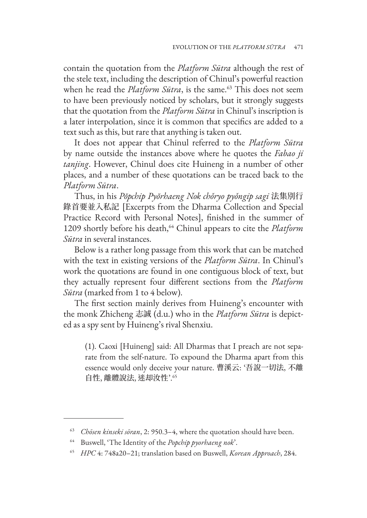contain the quotation from the *Platform Sūtra* although the rest of the stele text, including the description of Chinul's powerful reaction when he read the *Platform Sūtra*, is the same.<sup>63</sup> This does not seem to have been previously noticed by scholars, but it strongly suggests that the quotation from the *Platform Sūtra* in Chinul's inscription is a later interpolation, since it is common that specifics are added to a text such as this, but rare that anything is taken out.

It does not appear that Chinul referred to the *Platform Sūtra*  by name outside the instances above where he quotes the *Fabao ji tanjing*. However, Chinul does cite Huineng in a number of other places, and a number of these quotations can be traced back to the *Platform Sūtra*.

Thus, in his *Pŏpchip Pyŏrhaeng Nok chǒryo pyǒngip sagi* 法集別行 錄首要並入私記 [Excerpts from the Dharma Collection and Special Practice Record with Personal Notes], finished in the summer of 1209 shortly before his death,64 Chinul appears to cite the *Platform Sūtra* in several instances.

Below is a rather long passage from this work that can be matched with the text in existing versions of the *Platform Sūtra*. In Chinul's work the quotations are found in one contiguous block of text, but they actually represent four different sections from the *Platform Sūtra* (marked from 1 to 4 below).

The first section mainly derives from Huineng's encounter with the monk Zhicheng 志誠 (d.u.) who in the *Platform Sūtra* is depicted as a spy sent by Huineng's rival Shenxiu.

(1). Caoxi [Huineng] said: All Dharmas that I preach are not separate from the self-nature. To expound the Dharma apart from this essence would only deceive your nature. 曹溪云: '吾說一切法, 不離 自性, 離體說法, 迷却汝性'.65

<sup>63</sup> *Chōsen kinseki sōran*, 2: 950.3–4, where the quotation should have been.

<sup>64</sup> Buswell, 'The Identity of the *Popchip pyorhaeng nok*'.

<sup>65</sup> *HPC* 4: 748a20–21; translation based on Buswell, *Korean Approach*, 284.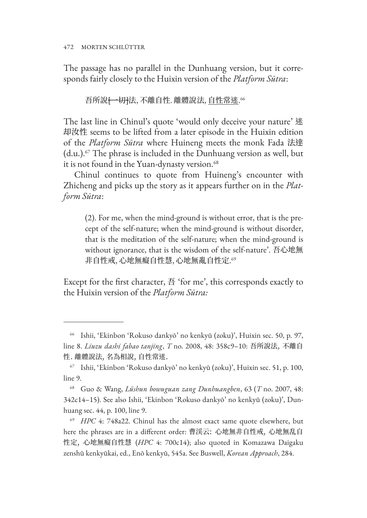The passage has no parallel in the Dunhuang version, but it corresponds fairly closely to the Huixin version of the *Platform Sūtra*:

吾所說<del>[一切]</del>法, 不離自性. 離體說法, <u>自性常迷</u>."

The last line in Chinul's quote 'would only deceive your nature' 迷 却汝性 seems to be lifted from a later episode in the Huixin edition of the *Platform Sūtra* where Huineng meets the monk Fada 法達  $(d.u.).<sup>67</sup>$  The phrase is included in the Dunhuang version as well, but it is not found in the Yuan-dynasty version.<sup>68</sup>

Chinul continues to quote from Huineng's encounter with Zhicheng and picks up the story as it appears further on in the *Platform Sūtra*:

(2). For me, when the mind-ground is without error, that is the precept of the self-nature; when the mind-ground is without disorder, that is the meditation of the self-nature; when the mind-ground is without ignorance, that is the wisdom of the self-nature'. 吾心地無 非自性戒, 心地無癡自性慧, 心地無亂自性定. 69

Except for the first character, 吾 'for me', this corresponds exactly to the Huixin version of the *Platform Sūtra:* 

<sup>66</sup> Ishii, 'Ekinbon 'Rokuso dankyō' no kenkyū (zoku)', Huixin sec. 50, p. 97, line 8. *Liuzu dashi fabao tanjing*, *T* no. 2008, 48: 358c9–10: 吾所說法, 不離自 性. 離體說法, 名為相說, 自性常迷.

<sup>67</sup> Ishii, 'Ekinbon 'Rokuso dankyō' no kenkyū (zoku)', Huixin sec. 51, p. 100, line 9.

<sup>68</sup> Guo & Wang, *Lüshun bowuguan zang Dunhuangben*, 63 (*T* no. 2007, 48: 342c14–15). See also Ishii, 'Ekinbon 'Rokuso dankyō' no kenkyū (zoku)', Dunhuang sec. 44, p. 100, line 9.

<sup>69</sup> *HPC* 4: 748a22. Chinul has the almost exact same quote elsewhere, but here the phrases are in a different order: 曹渓云: 心地無非自性戒, 心地無乱自 性定, 心地無癡自性慧 (*HPC* 4: 700c14); also quoted in Komazawa Daigaku zenshū kenkyūkai, ed., Enō kenkyū, 545a. See Buswell, *Korean Approach*, 284.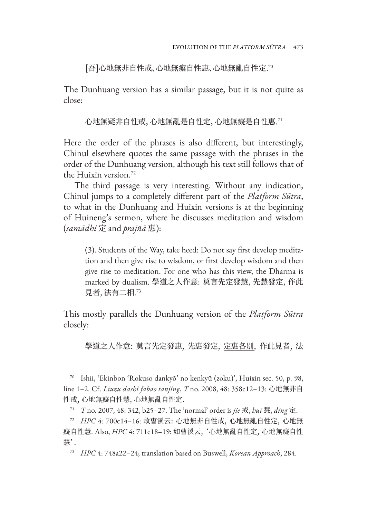[吾]心地無非自性戒、心地無癡自性惠、心地無亂自性定. 70

The Dunhuang version has a similar passage, but it is not quite as close:

心地無<u>疑</u>非自性戒, 心地無<u>亂是</u>自性<u>定</u>, 心地無<u>癡是</u>自性<u>惠</u>.<sup>71</sup>

Here the order of the phrases is also different, but interestingly, Chinul elsewhere quotes the same passage with the phrases in the order of the Dunhuang version, although his text still follows that of the Huixin version.72

The third passage is very interesting. Without any indication, Chinul jumps to a completely different part of the *Platform Sūtra*, to what in the Dunhuang and Huixin versions is at the beginning of Huineng's sermon, where he discusses meditation and wisdom (*samādhi* 定 and *prajñā* 惠):

(3). Students of the Way, take heed: Do not say first develop meditation and then give rise to wisdom, or first develop wisdom and then give rise to meditation. For one who has this view, the Dharma is marked by dualism. 學道之人作意: 莫言先定發慧, 先慧發定, 作此 見者, 法有二相. 73

This mostly parallels the Dunhuang version of the *Platform Sūtra*  closely:

學道之人作意: 莫言先定發惠, 先惠發定, 定惠各別, 作此見者, 法

<sup>70</sup> Ishii, 'Ekinbon 'Rokuso dankyō' no kenkyū (zoku)', Huixin sec. 50, p. 98, line 1–2. Cf. *Liuzu dashi fabao tanjing*, *T* no. 2008, 48: 358c12–13: 心地無非自 性戒, 心地無癡自性慧, 心地無亂自性定.

<sup>71</sup> *T* no. 2007, 48: 342, b25–27. The 'normal' order is *jie* 戒, *hui* 慧, *ding* 定.

<sup>72</sup> *HPC* 4: 700c14–16: 故曺溪云: 心地無非自性戒, 心地無亂自性定, 心地無 癡自性慧. Also, *HPC* 4: 711c18–19: 如曹溪云, '心地無亂自性定, 心地無癡自性 慧'.

<sup>73</sup> *HPC* 4: 748a22–24; translation based on Buswell, *Korean Approach*, 284.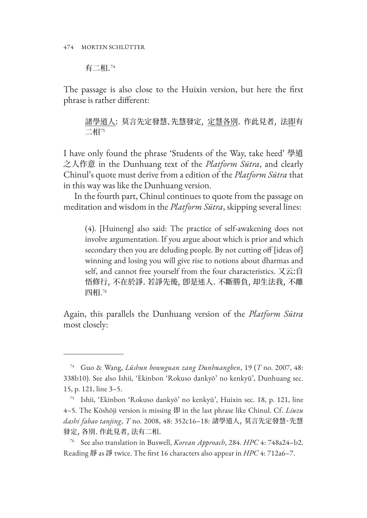有二相.<sup>74</sup>

The passage is also close to the Huixin version, but here the first phrase is rather different:

諸學道人: 莫言先定發慧、先慧發定, 定慧各別. 作此見者, 法即有 二相<sup>75</sup>

I have only found the phrase 'Students of the Way, take heed' 學道 之人作意 in the Dunhuang text of the *Platform Sūtra*, and clearly Chinul's quote must derive from a edition of the *Platform Sūtra* that in this way was like the Dunhuang version.

In the fourth part, Chinul continues to quote from the passage on meditation and wisdom in the *Platform Sūtra*, skipping several lines:

(4). [Huineng] also said: The practice of self-awakening does not involve argumentation. If you argue about which is prior and which secondary then you are deluding people. By not cutting off [ideas of] winning and losing you will give rise to notions about dharmas and self, and cannot free yourself from the four characteristics. 又云:自 悟修行, 不在於諍. 若諍先後, 卽是迷人. 不斷勝負, 却生法我, 不離 四相. 76

Again, this parallels the Dunhuang version of the *Platform Sūtra*  most closely:

<sup>74</sup> Guo & Wang, *Lüshun bowuguan zang Dunhuangben*, 19 (*T* no. 2007, 48: 338b10). See also Ishii, 'Ekinbon 'Rokuso dankyō' no kenkyū', Dunhuang sec. 15, p. 121, line 3–5.

Ishii, 'Ekinbon 'Rokuso dankyō' no kenkyū', Huixin sec. 18, p. 121, line 4–5. The Kōshōji version is missing 即 in the last phrase like Chinul. Cf. *Liuzu dashi fabao tanjing*, *T* no. 2008, 48: 352c16–18: 諸學道人, 莫言先定發慧、先慧 發定, 各別. 作此見者, 法有二相.

<sup>76</sup> See also translation in Buswell, *Korean Approach*, 284. *HPC* 4: 748a24–b2. Reading 靜 as 諍 twice. The first 16 characters also appear in *HPC* 4: 712a6-7.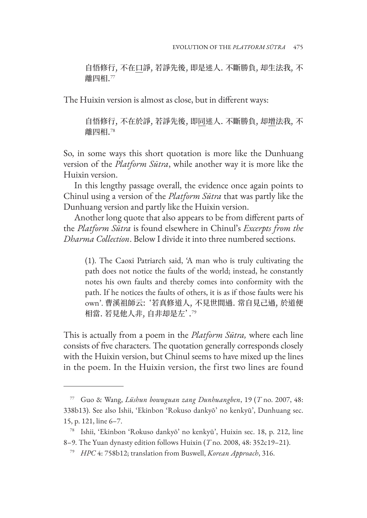自悟修行, 不在口諍, 若諍先後, 即是迷人. 不斷勝負, 却生法我, 不 離四相.<sup>77</sup>

The Huixin version is almost as close, but in different ways:

自悟修行, 不在於諍, 若諍先後, 即同迷人. 不斷勝負, 却增法我, 不 離四相.<sup>78</sup>

So, in some ways this short quotation is more like the Dunhuang version of the *Platform Sūtra*, while another way it is more like the Huixin version.

In this lengthy passage overall, the evidence once again points to Chinul using a version of the *Platform Sūtra* that was partly like the Dunhuang version and partly like the Huixin version.

Another long quote that also appears to be from different parts of the *Platform Sūtra* is found elsewhere in Chinul's *Excerpts from the Dharma Collection*. Below I divide it into three numbered sections.

(1). The Caoxi Patriarch said, 'A man who is truly cultivating the path does not notice the faults of the world; instead, he constantly notes his own faults and thereby comes into conformity with the path. If he notices the faults of others, it is as if those faults were his own'. 曹溪祖師云: '若真修道人, 不見世間過. 常自見己過, 於道便 相當. 若見他人非, 自非却是左'.<sup>79</sup>

This is actually from a poem in the *Platform Sūtra,* where each line consists of five characters. The quotation generally corresponds closely with the Huixin version, but Chinul seems to have mixed up the lines in the poem. In the Huixin version, the first two lines are found

<sup>77</sup> Guo & Wang, *Lüshun bowuguan zang Dunhuangben*, 19 (*T* no. 2007, 48: 338b13). See also Ishii, 'Ekinbon 'Rokuso dankyō' no kenkyū', Dunhuang sec. 15, p. 121, line 6–7.

<sup>78</sup> Ishii, 'Ekinbon 'Rokuso dankyō' no kenkyū', Huixin sec. 18, p. 212, line 8–9. The Yuan dynasty edition follows Huixin (*T* no. 2008, 48: 352c19–21).

<sup>79</sup> *HPC* 4: 758b12; translation from Buswell, *Korean Approach*, 316.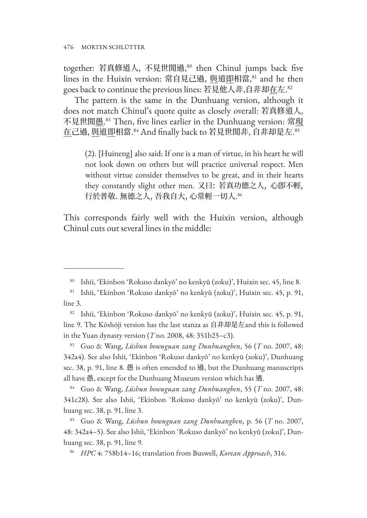together: 若真修道人, 不見世閒過, <sup>80</sup> then Chinul jumps back five lines in the Huixin version: 常自見己過, 與道即相當, 81 and he then goes back to continue the previous lines: 若見他人非,自非却<u>在</u>左.<sup>82</sup>

The pattern is the same in the Dunhuang version, although it does not match Chinul's quote quite as closely overall: 若真修道人, 不見世閒<u>愚</u>.<sup>s3</sup> Then, five lines earlier in the Dunhuang version: 常<u>現</u> <u>在</u>己過, <u>與</u>道<u>即</u>相當.<sup>84</sup> And finally back to 若見世閒非, 自非却是左.<sup>85</sup>

(2). [Huineng] also said: If one is a man of virtue, in his heart he will not look down on others but will practice universal respect. Men without virtue consider themselves to be great, and in their hearts they constantly slight other men. 又曰: 若真功德之人, 心卽不輕, 行於普敬. 無德之人, 吾我自大, 心常輕一切人. 86

This corresponds fairly well with the Huixin version, although Chinul cuts out several lines in the middle:

<sup>80</sup> Ishii, 'Ekinbon 'Rokuso dankyō' no kenkyū (zoku)', Huixin sec. 45, line 8.

<sup>81</sup> Ishii, 'Ekinbon 'Rokuso dankyō' no kenkyū (zoku)', Huixin sec. 45, p. 91, line 3.

<sup>82</sup> Ishii, 'Ekinbon 'Rokuso dankyō' no kenkyū (zoku)', Huixin sec. 45, p. 91, line 9. The Kōshōji version has the last stanza as 自非却是左and this is followed in the Yuan dynasty version (*T* no. 2008, 48: 351b25–c3).

<sup>83</sup> Guo & Wang, *Lüshun bowuguan zang Dunhuangben*, 56 (*T* no. 2007, 48: 342a4). See also Ishii, 'Ekinbon 'Rokuso dankyō' no kenkyū (zoku)', Dunhuang sec. 38, p. 91, line 8. 愚 is often emended to 過, but the Dunhuang manuscripts all have 愚, except for the Dunhuang Museum version which has 遇.

<sup>84</sup> Guo & Wang, *Lüshun bowuguan zang Dunhuangben*, 55 (*T* no. 2007, 48: 341c28). See also Ishii, 'Ekinbon 'Rokuso dankyō' no kenkyū (zoku)', Dunhuang sec. 38, p. 91, line 3.

<sup>85</sup> Guo & Wang, *Lüshun bowuguan zang Dunhuangben*, p. 56 (*T* no. 2007, 48: 342a4–5). See also Ishii, 'Ekinbon 'Rokuso dankyō' no kenkyū (zoku)', Dunhuang sec. 38, p. 91, line 9.

<sup>86</sup> *HPC* 4: 758b14–16; translation from Buswell, *Korean Approach*, 316.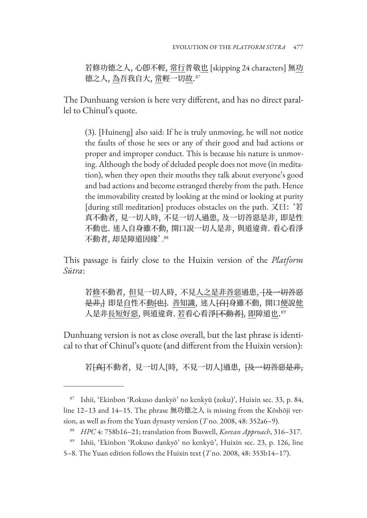若修功德之人, 心卽不輕, 常行普敬也 [skipping 24 characters] 無功 德之人, <u>為</u>吾我自大, <u>常</u>輕一切<u>故</u>.<sup>87</sup>

The Dunhuang version is here very different, and has no direct parallel to Chinul's quote.

(3). [Huineng] also said: If he is truly unmoving, he will not notice the faults of those he sees or any of their good and bad actions or proper and improper conduct. This is because his nature is unmoving. Although the body of deluded people does not move (in meditation), when they open their mouths they talk about everyone's good and bad actions and become estranged thereby from the path. Hence the immovability created by looking at the mind or looking at purity [during still meditation] produces obstacles on the path. 又曰: '若 真不動者, 見一切人時, 不見一切人過患, 及一切善惡是非, 即是性 不動也. 迷人自身雖不動, 開口說一切人是非, 與道違背. 看心看淨 不動者, 却是障道因緣'. 88

This passage is fairly close to the Huixin version of the *Platform Sūtra*:

若修不動者, 但見一切人時, 不見人之是非善惡過患, 千及一切善惡 是非, 即是自性不動 [也]. 善知識, 迷人 [自]身雖不動, 開口便說他 人是非<u>長短好惡,</u> 與道違背. <u>若</u>看心看淨<del>[不動者]</del>, <u>即</u>障道<u>也</u>."

Dunhuang version is not as close overall, but the last phrase is identical to that of Chinul's quote (and different from the Huixin version):

若<del>[真]</del>不動者,見一切人[時,不見一切人]過患,<del>[及一切善惡是非,</del>

5–8. The Yuan edition follows the Huixin text (*T* no. 2008, 48: 353b14–17).

<sup>87</sup> Ishii, 'Ekinbon 'Rokuso dankyō' no kenkyū (zoku)', Huixin sec. 33, p. 84, line 12–13 and 14–15. The phrase 無功德之人 is missing from the Kōshōji version, as well as from the Yuan dynasty version (*T* no. 2008, 48: 352a6–9).

<sup>88</sup> *HPC* 4: 758b16–21; translation from Buswell, *Korean Approach*, 316–317.

<sup>89</sup> Ishii, 'Ekinbon 'Rokuso dankyō' no kenkyū', Huixin sec. 23, p. 126, line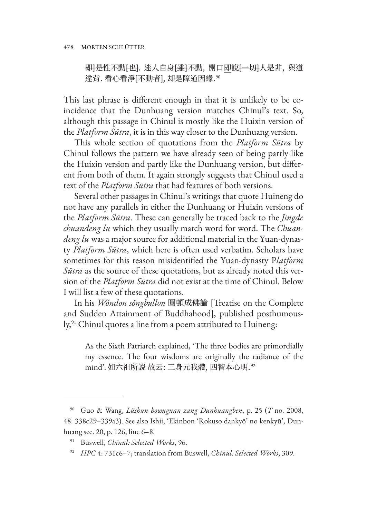#### 478 MORTEN SCHLÜTTER

<del>即]</del>是性不動<del>[也]</del>. 迷人自身<del>[雖]</del>不動, 開口即說<del>[一切]</del>人是非, 與道 違背. 看心看淨<del>[不動者]</del>, 却是障道因緣.<sup>90</sup>

This last phrase is different enough in that it is unlikely to be coincidence that the Dunhuang version matches Chinul's text. So, although this passage in Chinul is mostly like the Huixin version of the *Platform Sūtra*, it is in this way closer to the Dunhuang version.

This whole section of quotations from the *Platform Sūtra* by Chinul follows the pattern we have already seen of being partly like the Huixin version and partly like the Dunhuang version, but different from both of them. It again strongly suggests that Chinul used a text of the *Platform Sūtra* that had features of both versions.

Several other passages in Chinul's writings that quote Huineng do not have any parallels in either the Dunhuang or Huixin versions of the *Platform Sūtra*. These can generally be traced back to the *Jingde chuandeng lu* which they usually match word for word. The *Chuandeng lu* was a major source for additional material in the Yuan-dynasty *Platform Sūtra*, which here is often used verbatim. Scholars have sometimes for this reason misidentified the Yuan-dynasty P*latform Sūtra* as the source of these quotations, but as already noted this version of the *Platform Sūtra* did not exist at the time of Chinul. Below I will list a few of these quotations.

In his *Wǒndon sǒngbullon* 圓頓成佛論 [Treatise on the Complete and Sudden Attainment of Buddhahood], published posthumously,<sup>91</sup> Chinul quotes a line from a poem attributed to Huineng:

As the Sixth Patriarch explained, 'The three bodies are primordially my essence. The four wisdoms are originally the radiance of the mind'. 如六祖所說 故云: 三身元我體, 四智本心明. <sup>92</sup>

<sup>90</sup> Guo & Wang, *Lüshun bowuguan zang Dunhuangben*, p. 25 (*T* no. 2008, 48: 338c29–339a3). See also Ishii, 'Ekinbon 'Rokuso dankyō' no kenkyū', Dunhuang sec. 20, p. 126, line 6–8.

<sup>91</sup> Buswell, *Chinul: Selected Works*, 96.

<sup>92</sup> *HPC* 4: 731c6–7; translation from Buswell, *Chinul: Selected Works*, 309.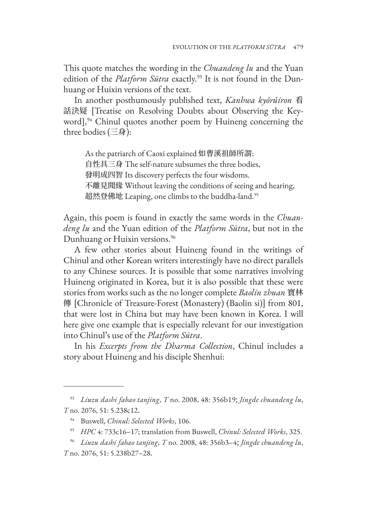This quote matches the wording in the *Chuandeng lu* and the Yuan edition of the *Platform Sūtra* exactly.<sup>93</sup> It is not found in the Dunhuang or Huixin versions of the text.

In another posthumously published text, *Kanhwa kyǒrǔiron* 看 話決疑 [Treatise on Resolving Doubts about Observing the Keyword], $94$  Chinul quotes another poem by Huineng concerning the three bodies (三身):

As the patriarch of Caoxi explained 如曹溪祖師所謂: 自性具三身 The self-nature subsumes the three bodies, 發明成四智 Its discovery perfects the four wisdoms. 不離見聞緣 Without leaving the conditions of seeing and hearing, 超然登佛地 Leaping, one climbs to the buddha-land.<sup>95</sup>

Again, this poem is found in exactly the same words in the *Chuandeng lu* and the Yuan edition of the *Platform Sūtra*, but not in the Dunhuang or Huixin versions.<sup>96</sup>

A few other stories about Huineng found in the writings of Chinul and other Korean writers interestingly have no direct parallels to any Chinese sources. It is possible that some narratives involving Huineng originated in Korea, but it is also possible that these were stories from works such as the no longer complete *Baolin zhuan* 寶林 傳 [Chronicle of Treasure-Forest (Monastery) (Baolin si)] from 801, that were lost in China but may have been known in Korea. I will here give one example that is especially relevant for our investigation into Chinul's use of the *Platform Sūtra*.

In his *Excerpts from the Dharma Collection*, Chinul includes a story about Huineng and his disciple Shenhui:

<sup>93</sup> *Liuzu dashi fabao tanjing*, *T* no. 2008, 48: 356b19; *Jingde chuandeng lu*, *T* no. 2076, 51: 5.238c12.

<sup>94</sup> Buswell, *Chinul: Selected Works*, 106.

<sup>95</sup> *HPC* 4: 733c16–17; translation from Buswell, *Chinul: Selected Works*, 325.

<sup>96</sup> *Liuzu dashi fabao tanjing*, *T* no. 2008, 48: 356b3–4; *Jingde chuandeng lu*, *T* no. 2076, 51: 5.238b27–28.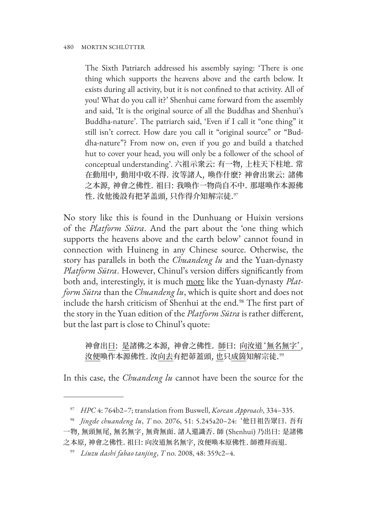The Sixth Patriarch addressed his assembly saying: 'There is one thing which supports the heavens above and the earth below. It exists during all activity, but it is not confined to that activity. All of you! What do you call it?' Shenhui came forward from the assembly and said, 'It is the original source of all the Buddhas and Shenhui's Buddha-nature'. The patriarch said, 'Even if I call it "one thing" it still isn't correct. How dare you call it "original source" or "Buddha-nature"? From now on, even if you go and build a thatched hut to cover your head, you will only be a follower of the school of conceptual understanding'. 六祖示衆云: 有一物, 上柱天下柱地. 常 在動用中, 動用中收不得. 汝等諸人, 喚作什麽? 神會出衆云: 諸佛 之本源, 神會之佛性. 祖曰: 我喚作一物尚自不中. 那堪喚作本源佛 性. 汝他後設有把茅盖頭, 只作得介知解宗徒. 97

No story like this is found in the Dunhuang or Huixin versions of the *Platform Sūtra*. And the part about the 'one thing which supports the heavens above and the earth below' cannot found in connection with Huineng in any Chinese source. Otherwise, the story has parallels in both the *Chuandeng lu* and the Yuan-dynasty *Platform Sūtra*. However, Chinul's version differs significantly from both and, interestingly, it is much more like the Yuan-dynasty *Platform Sūtra* than the *Chuandeng lu*, which is quite short and does not include the harsh criticism of Shenhui at the end.<sup>98</sup> The first part of the story in the Yuan edition of the *Platform Sūtra* is rather different, but the last part is close to Chinul's quote:

神會出曰: 是諸佛之本源, 神會之佛性. 師曰: 向汝道'無名無字', 汝便喚作本源佛性. 汝向去有把茆蓋頭, 也只成箇知解宗徒. 99

In this case, the *Chuandeng lu* cannot have been the source for the

<sup>97</sup> *HPC* 4: 764b2–7; translation from Buswell, *Korean Approach*, 334–335.

<sup>98</sup> *Jingde chuandeng lu*, *T* no. 2076, 51: 5.245a20–24: '他日祖告眾曰. 吾有

一物, 無頭無尾, 無名無字, 無背無面. 諸人還識否. 師 (Shenhui) 乃出曰: 是諸佛 之本原, 神會之佛性. 祖曰: 向汝道無名無字, 汝便喚本原佛性. 師禮拜而退.

<sup>99</sup> *Liuzu dashi fabao tanjing*, *T* no. 2008, 48: 359c2–4.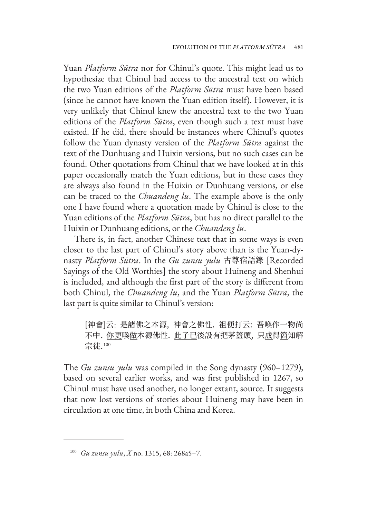Yuan *Platform Sūtra* nor for Chinul's quote. This might lead us to hypothesize that Chinul had access to the ancestral text on which the two Yuan editions of the *Platform Sūtra* must have been based (since he cannot have known the Yuan edition itself). However, it is very unlikely that Chinul knew the ancestral text to the two Yuan editions of the *Platform Sūtra*, even though such a text must have existed. If he did, there should be instances where Chinul's quotes follow the Yuan dynasty version of the *Platform Sūtra* against the text of the Dunhuang and Huixin versions, but no such cases can be found. Other quotations from Chinul that we have looked at in this paper occasionally match the Yuan editions, but in these cases they are always also found in the Huixin or Dunhuang versions, or else can be traced to the *Chuandeng lu*. The example above is the only one I have found where a quotation made by Chinul is close to the Yuan editions of the *Platform Sūtra*, but has no direct parallel to the Huixin or Dunhuang editions, or the *Chuandeng lu*.

There is, in fact, another Chinese text that in some ways is even closer to the last part of Chinul's story above than is the Yuan-dynasty *Platform Sūtra*. In the *Gu zunsu yulu* 古尊宿語錄 [Recorded Sayings of the Old Worthies] the story about Huineng and Shenhui is included, and although the first part of the story is different from both Chinul, the *Chuandeng lu*, and the Yuan *Platform Sūtra*, the last part is quite similar to Chinul's version:

[神會]云: 是諸佛之本源, 神會之佛性. 祖便打云: 吾喚作一物尚 不中. 你更喚做本源佛性. 此子已後設有把茅蓋頭, 只成得箇知解 宗徒.<sup>100</sup>

The *Gu zunsu yulu* was compiled in the Song dynasty (960–1279), based on several earlier works, and was first published in 1267, so Chinul must have used another, no longer extant, source. It suggests that now lost versions of stories about Huineng may have been in circulation at one time, in both China and Korea.

<sup>100</sup> *Gu zunsu yulu*, *X* no. 1315, 68: 268a5–7.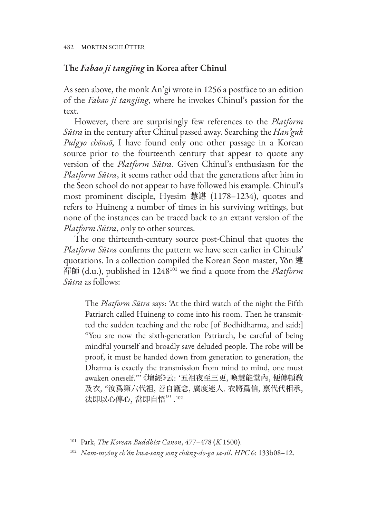## **The** *Fabao ji tangjing* **in Korea after Chinul**

As seen above, the monk An'gi wrote in 1256 a postface to an edition of the *Fabao ji tangjing*, where he invokes Chinul's passion for the text.

However, there are surprisingly few references to the *Platform Sūtra* in the century after Chinul passed away. Searching the *Han'guk Pulgyo chŏnsŏ*, I have found only one other passage in a Korean source prior to the fourteenth century that appear to quote any version of the *Platform Sūtra*. Given Chinul's enthusiasm for the *Platform Sūtra*, it seems rather odd that the generations after him in the Seon school do not appear to have followed his example. Chinul's most prominent disciple, Hyesim 慧諶 (1178–1234), quotes and refers to Huineng a number of times in his surviving writings, but none of the instances can be traced back to an extant version of the *Platform Sūtra*, only to other sources.

The one thirteenth-century source post-Chinul that quotes the *Platform Sūtra* confirms the pattern we have seen earlier in Chinuls' quotations. In a collection compiled the Korean Seon master, Yŏn 連 禪師 (d.u.), published in 1248101 we find a quote from the *Platform Sūtra* as follows:

The *Platform Sūtra* says: 'At the third watch of the night the Fifth Patriarch called Huineng to come into his room. Then he transmitted the sudden teaching and the robe [of Bodhidharma, and said:] "You are now the sixth-generation Patriarch, be careful of being mindful yourself and broadly save deluded people. The robe will be proof, it must be handed down from generation to generation, the Dharma is exactly the transmission from mind to mind, one must awaken oneself."' 《壇經》云: '五祖夜至三更, 喚慧能堂內, 便傳頓敎 及衣, "汝爲第六代祖, 善自護念, 廣度迷人. 衣將爲信, 禀代代相承, 法即以心傳心, 當即自悟"'.<sup>102</sup>

<sup>101</sup> Park, *The Korean Buddhist Canon*, 477–478 (*K* 1500).

<sup>102</sup> *Nam-myŏng ch'ŏn hwa-sang song chŭng-do-ga sa-sil*, *HPC* 6: 133b08–12.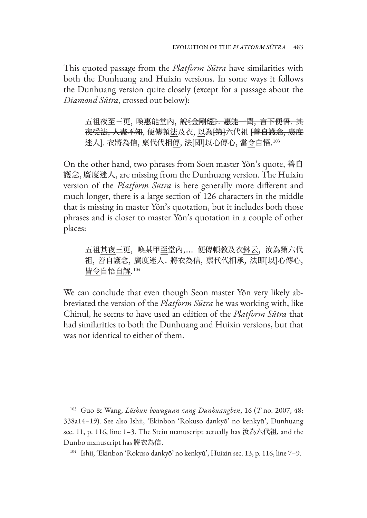This quoted passage from the *Platform Sūtra* have similarities with both the Dunhuang and Huixin versions. In some ways it follows the Dunhuang version quite closely (except for a passage about the *Diamond Sūtra*, crossed out below):

五祖夜至三更,喚惠能堂內,<del>說《金剛經》. 惠能一聞,言下便悟. 其</del> <del>夜受法, 人盡不知</del>, 便傳頓法及衣, 以為<del>[第]</del>六代祖 <del>[善自護念, 廣度</del> <del>迷人]</del>. 衣將為信, 稟代代相傳, 法<del>[即]</del>以心傳心, 當令自悟.<sup>103</sup>

On the other hand, two phrases from Soen master Yŏn's quote, 善自 護念, 廣度迷人, are missing from the Dunhuang version. The Huixin version of the *Platform Sūtra* is here generally more different and much longer, there is a large section of 126 characters in the middle that is missing in master Yŏn's quotation, but it includes both those phrases and is closer to master Yŏn's quotation in a couple of other places:

五祖其夜三更, 喚某甲至堂內,… 便傳頓教及衣鉢云, 汝為第六代 祖, 善自護念, 廣度迷人. 將衣為信, 禀代代相承, 法即<del>[以]</del>心傳心, <u>皆令</u>自悟<u>自解</u>.104

We can conclude that even though Seon master Yŏn very likely abbreviated the version of the *Platform Sūtra* he was working with, like Chinul, he seems to have used an edition of the *Platform Sūtra* that had similarities to both the Dunhuang and Huixin versions, but that was not identical to either of them.

<sup>103</sup> Guo & Wang, *Lüshun bowuguan zang Dunhuangben*, 16 (*T* no. 2007, 48: 338a14–19). See also Ishii, 'Ekinbon 'Rokuso dankyō' no kenkyū', Dunhuang sec. 11, p. 116, line 1–3. The Stein manuscript actually has 汝為六代祖, and the Dunbo manuscript has 將衣為信.

<sup>104</sup> Ishii, 'Ekinbon 'Rokuso dankyō' no kenkyū', Huixin sec. 13, p. 116, line 7–9.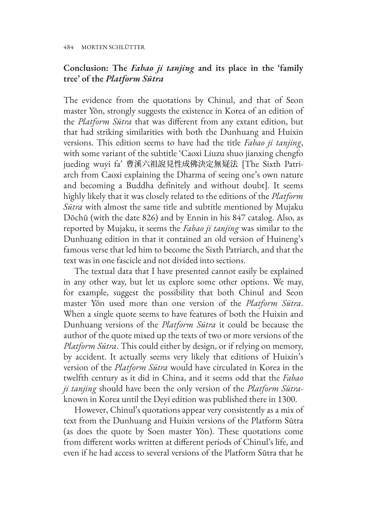# **Conclusion: The** *Fabao ji tanjing* **and its place in the 'family tree' of the** *Platform Sūtra*

The evidence from the quotations by Chinul, and that of Seon master Yŏn, strongly suggests the existence in Korea of an edition of the *Platform Sūtra* that was different from any extant edition, but that had striking similarities with both the Dunhuang and Huixin versions. This edition seems to have had the title *Fabao ji tanjing*, with some variant of the subtitle 'Caoxi Liuzu shuo jianxing chengfo jueding wuyi fa' 曹溪六祖說見性成佛決定無疑法 [The Sixth Patriarch from Caoxi explaining the Dharma of seeing one's own nature and becoming a Buddha definitely and without doubt]. It seems highly likely that it was closely related to the editions of the *Platform Sūtra* with almost the same title and subtitle mentioned by Mujaku Dōchū (with the date 826) and by Ennin in his 847 catalog. Also, as reported by Mujaku, it seems the *Fabao ji tanjing* was similar to the Dunhuang edition in that it contained an old version of Huineng's famous verse that led him to become the Sixth Patriarch, and that the text was in one fascicle and not divided into sections.

The textual data that I have presented cannot easily be explained in any other way, but let us explore some other options. We may, for example, suggest the possibility that both Chinul and Seon master Yŏn used more than one version of the *Platform Sūtra*. When a single quote seems to have features of both the Huixin and Dunhuang versions of the *Platform Sūtra* it could be because the author of the quote mixed up the texts of two or more versions of the *Platform Sūtra*. This could either by design, or if relying on memory, by accident. It actually seems very likely that editions of Huixin's version of the *Platform Sūtra* would have circulated in Korea in the twelfth century as it did in China, and it seems odd that the *Fabao ji tanjing* should have been the only version of the *Platform Sūtra*known in Korea until the Deyi edition was published there in 1300.

However, Chinul's quotations appear very consistently as a mix of text from the Dunhuang and Huixin versions of the Platform Sūtra (as does the quote by Soen master Yŏn). These quotations come from different works written at different periods of Chinul's life, and even if he had access to several versions of the Platform Sūtra that he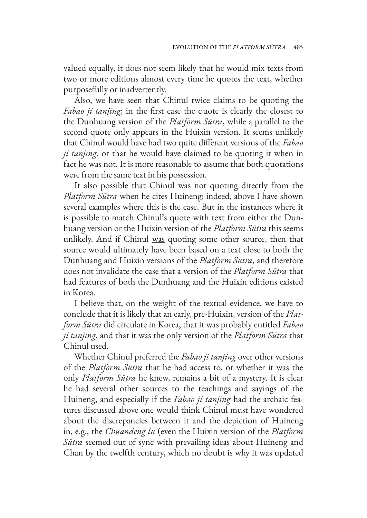valued equally, it does not seem likely that he would mix texts from two or more editions almost every time he quotes the text, whether purposefully or inadvertently.

Also, we have seen that Chinul twice claims to be quoting the *Fabao ji tanjing*; in the first case the quote is clearly the closest to the Dunhuang version of the *Platform Sūtra*, while a parallel to the second quote only appears in the Huixin version. It seems unlikely that Chinul would have had two quite different versions of the *Fabao ji tanjing*, or that he would have claimed to be quoting it when in fact he was not. It is more reasonable to assume that both quotations were from the same text in his possession.

It also possible that Chinul was not quoting directly from the *Platform Sūtra* when he cites Huineng; indeed, above I have shown several examples where this is the case. But in the instances where it is possible to match Chinul's quote with text from either the Dunhuang version or the Huixin version of the *Platform Sūtra* this seems unlikely. And if Chinul was quoting some other source, then that source would ultimately have been based on a text close to both the Dunhuang and Huixin versions of the *Platform Sūtra*, and therefore does not invalidate the case that a version of the *Platform Sūtra* that had features of both the Dunhuang and the Huixin editions existed in Korea.

I believe that, on the weight of the textual evidence, we have to conclude that it is likely that an early, pre-Huixin, version of the *Platform Sūtra* did circulate in Korea, that it was probably entitled *Fabao ji tanjing*, and that it was the only version of the *Platform Sūtra* that Chinul used.

Whether Chinul preferred the *Fabao ji tanjing* over other versions of the *Platform Sūtra* that he had access to, or whether it was the only *Platform Sūtra* he knew, remains a bit of a mystery. It is clear he had several other sources to the teachings and sayings of the Huineng, and especially if the *Fabao ji tanjing* had the archaic features discussed above one would think Chinul must have wondered about the discrepancies between it and the depiction of Huineng in, e.g., the *Chuandeng lu* (even the Huixin version of the *Platform Sūtra* seemed out of sync with prevailing ideas about Huineng and Chan by the twelfth century, which no doubt is why it was updated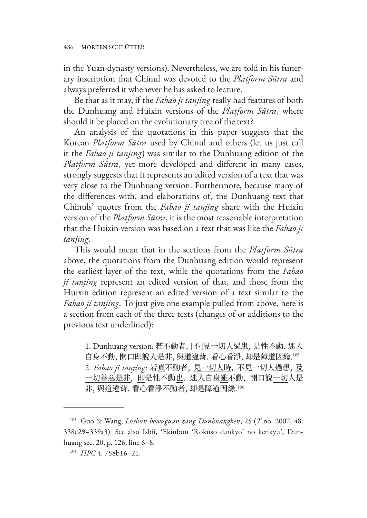in the Yuan-dynasty versions). Nevertheless, we are told in his funerary inscription that Chinul was devoted to the *Platform Sūtra* and always preferred it whenever he has asked to lecture.

Be that as it may, if the *Fabao ji tanjing* really had features of both the Dunhuang and Huixin versions of the *Platform Sūtra*, where should it be placed on the evolutionary tree of the text?

An analysis of the quotations in this paper suggests that the Korean *Platform Sūtra* used by Chinul and others (let us just call it the *Fabao ji tanjing*) was similar to the Dunhuang edition of the *Platform Sūtra*, yet more developed and different in many cases, strongly suggests that it represents an edited version of a text that was very close to the Dunhuang version. Furthermore, because many of the differences with, and elaborations of, the Dunhuang text that Chinuls' quotes from the *Fabao ji tanjing* share with the Huixin version of the *Platform Sūtra*, it is the most reasonable interpretation that the Huixin version was based on a text that was like the *Fabao ji tanjing*.

This would mean that in the sections from the *Platform Sūtra*  above, the quotations from the Dunhuang edition would represent the earliest layer of the text, while the quotations from the *Fabao ji tanjing* represent an edited version of that, and those from the Huixin edition represent an edited version of a text similar to the *Fabao ji tanjing*. To just give one example pulled from above, here is a section from each of the three texts (changes of or additions to the previous text underlined):

1. Dunhuang version: 若不動者, [不]見一切人過患, 是性不動. 迷人 自身不動, 開口即說人是非, 與道違背. 看心看淨, 却是障道因緣. 105 2. *Fabao ji tanjing*: 若真不動者, 見一切人時, 不見一切人過患, 及 一切善惡是非, 即是性不動也. 迷人自身雖不動, 開口說一切人是 非, 與道違背. 看心看淨<u>不動者</u>, 却是障道因緣.<sup>106</sup>

<sup>105</sup> Guo & Wang, *Lüshun bowuguan zang Dunhuangben*, 25 (*T* no. 2007, 48: 338c29–339a3). See also Ishii, 'Ekinbon 'Rokuso dankyō' no kenkyū', Dunhuang sec. 20, p. 126, line 6–8.

<sup>106</sup> *HPC* 4: 758b16–21.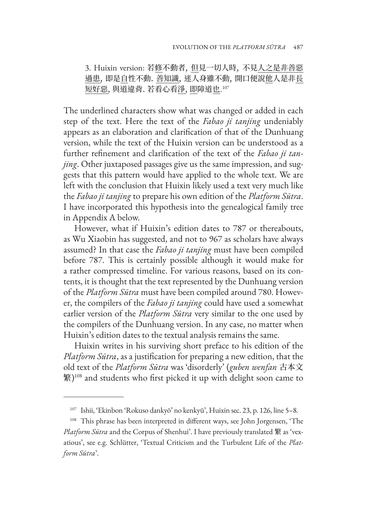3. Huixin version: 若修不動者, 但見一切人時, 不見人之是非善惡 過患, 即是自性不動. 善知識, 迷人身雖不動, 開口便說他人是非長 短<u>好惡,</u> 與道違背. 若看心看<u>淨, 即</u>障道<u>也</u>.'<sup>07</sup>

The underlined characters show what was changed or added in each step of the text. Here the text of the *Fabao ji tanjing* undeniably appears as an elaboration and clarification of that of the Dunhuang version, while the text of the Huixin version can be understood as a further refinement and clarification of the text of the *Fabao ji tanjing*. Other juxtaposed passages give us the same impression, and suggests that this pattern would have applied to the whole text. We are left with the conclusion that Huixin likely used a text very much like the *Fabao ji tanjing* to prepare his own edition of the *Platform Sūtra*. I have incorporated this hypothesis into the genealogical family tree in Appendix A below.

However, what if Huixin's edition dates to 787 or thereabouts, as Wu Xiaobin has suggested, and not to 967 as scholars have always assumed? In that case the *Fabao ji tanjing* must have been compiled before 787. This is certainly possible although it would make for a rather compressed timeline. For various reasons, based on its contents, it is thought that the text represented by the Dunhuang version of the *Platform Sūtra* must have been compiled around 780. However, the compilers of the *Fabao ji tanjing* could have used a somewhat earlier version of the *Platform Sūtra* very similar to the one used by the compilers of the Dunhuang version. In any case, no matter when Huixin's edition dates to the textual analysis remains the same.

Huixin writes in his surviving short preface to his edition of the *Platform Sūtra*, as a justification for preparing a new edition, that the old text of the *Platform Sūtra* was 'disorderly' (*guben wenfan* 古本文 繁)<sup>108</sup> and students who first picked it up with delight soon came to

<sup>107</sup> Ishii, 'Ekinbon 'Rokuso dankyō' no kenkyū', Huixin sec. 23, p. 126, line 5–8.

<sup>&</sup>lt;sup>108</sup> This phrase has been interpreted in different ways, see John Jorgensen, 'The *Platform Sūtra* and the Corpus of Shenhui'. I have previously translated 繁 as 'vexatious', see e.g. Schlütter, 'Textual Criticism and the Turbulent Life of the *Platform Sūtra*'.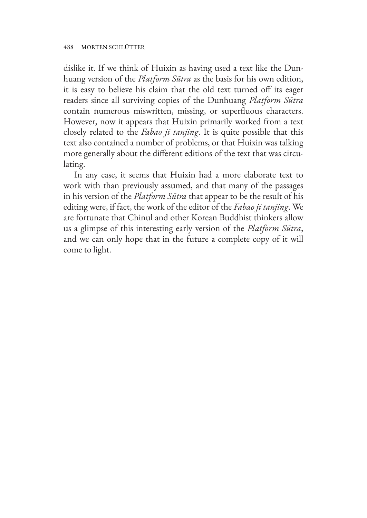dislike it. If we think of Huixin as having used a text like the Dunhuang version of the *Platform Sūtra* as the basis for his own edition, it is easy to believe his claim that the old text turned off its eager readers since all surviving copies of the Dunhuang *Platform Sūtra*  contain numerous miswritten, missing, or superfluous characters. However, now it appears that Huixin primarily worked from a text closely related to the *Fabao ji tanjing*. It is quite possible that this text also contained a number of problems, or that Huixin was talking more generally about the different editions of the text that was circulating.

In any case, it seems that Huixin had a more elaborate text to work with than previously assumed, and that many of the passages in his version of the *Platform Sūtra* that appear to be the result of his editing were, if fact, the work of the editor of the *Fabao ji tanjing*. We are fortunate that Chinul and other Korean Buddhist thinkers allow us a glimpse of this interesting early version of the *Platform Sūtra*, and we can only hope that in the future a complete copy of it will come to light.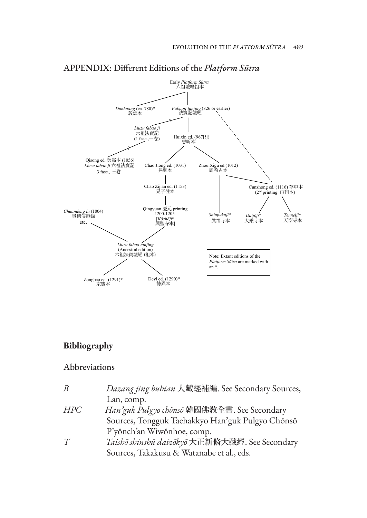

## APPENDIX: Different Editions of the *Platform Sūtra*

# **Bibliography**

## Abbreviations

| B          | Dazang jing bubian 大藏經補編. See Secondary Sources, |
|------------|--------------------------------------------------|
|            | Lan, comp.                                       |
| <i>HPC</i> | Han'guk Pulgyo chonso 韓國佛教全書. See Secondary      |
|            | Sources, Tongguk Taehakkyo Han'guk Pulgyo Chŏnsŏ |
|            | P'yŏnch'an Wiwŏnhoe, comp.                       |
| T          | Taishō shinshū daizōkyō 大正新脩大藏經. See Secondary   |
|            | Sources, Takakusu & Watanabe et al., eds.        |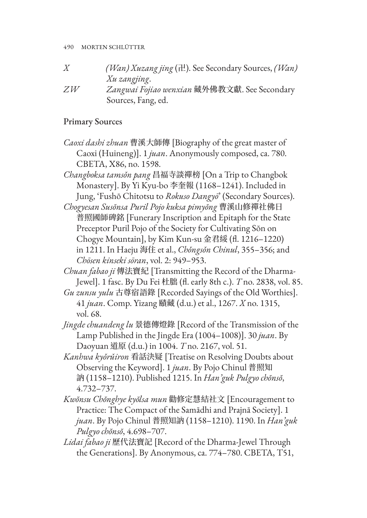*X (Wan) Xuzang jing* (卍). See Secondary Sources, *(Wan) Xu zangjing*. *ZW Zangwai Fojiao wenxian* 藏外佛教文獻. See Secondary Sources, Fang, ed.

## Primary Sources

*Caoxi dashi zhuan* 曹溪大師傳 [Biography of the great master of Caoxi (Huineng)]. 1 *juan*. Anonymously composed, ca. 780. CBETA, X86, no. 1598.

*Changboksa tamsǒn pang* 昌福寺談禪榜 [On a Trip to Changbok Monastery]. By Yi Kyu-bo 李奎報 (1168–1241). Included in Jung, 'Fushō Chitotsu to *Rokuso Dangyō*' (Secondary Sources).

*Chogyesan Susŏnsa Puril Pojo kuksa pimyŏng* 曹溪山修禪社佛日 普照國師碑銘 [Funerary Inscription and Epitaph for the State Preceptor Puril Pojo of the Society for Cultivating Sŏn on Chogye Mountain], by Kim Kun-su 金君綏 (fl. 1216–1220) in 1211. In Haeju 海住 et al., *Chǒngsǒn Chinul*, 355–356; and *Chōsen kinseki sōran*, vol. 2: 949–953.

*Chuan fabao ji* 傳法寶紀 [Transmitting the Record of the Dharma-Jewel]. 1 fasc. By Du Fei 杜朏 (fl. early 8th c.). *T* no. 2838, vol. 85.

*Gu zunsu yulu* 古尊宿語錄 [Recorded Sayings of the Old Worthies]. 41 *juan*. Comp. Yizang 賾藏 (d.u.) et al., 1267. *X* no. 1315, vol. 68.

- *Jingde chuandeng lu* 景德傳燈錄 [Record of the Transmission of the Lamp Published in the Jingde Era (1004–1008)]. 30 *juan*. By Daoyuan 道原 (d.u.) in 1004. *T* no. 2167, vol. 51.
- *Kanhwa kyǒrǔiron* 看話決疑 [Treatise on Resolving Doubts about Observing the Keyword]. 1 *juan*. By Pojo Chinul 普照知 訥 (1158–1210). Published 1215. In *Han'guk Pulgyo chŏnsŏ*, 4.732–737.
- *Kwŏnsu Chŏnghye kyŏlsa mun* 勸修定慧結社文 [Encouragement to Practice: The Compact of the Samādhi and Prajnā Society]. 1 *juan*. By Pojo Chinul 普照知訥 (1158–1210). 1190. In *Han'guk Pulgyo chŏnsŏ*, 4.698–707.
- *Lidai fabao ji* 歷代法寶記 [Record of the Dharma-Jewel Through the Generations]. By Anonymous, ca. 774–780. CBETA, T51,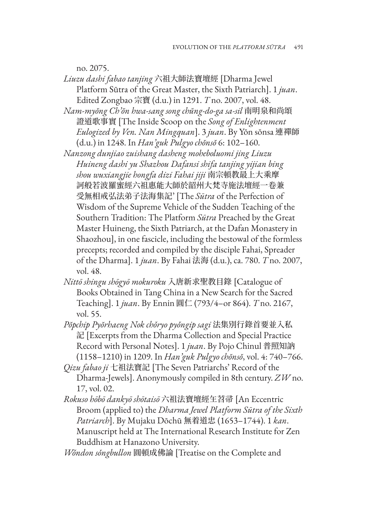no. 2075.

- *Liuzu dashi fabao tanjing* 六祖大師法寶壇經 [Dharma Jewel Platform Sūtra of the Great Master, the Sixth Patriarch]. 1 *juan*. Edited Zongbao 宗寶 (d.u.) in 1291. *T* no. 2007, vol. 48.
- *Nam-myŏng Ch'ŏn hwa-sang song chŭng-do-ga sa-sil* 南明泉和尚頌 證道歌事實 [The Inside Scoop on the *Song of Enlightenment Eulogized by Ven. Nan Mingquan*]. 3 *juan*. By Yŏn sŏnsa 連禪師 (d.u.) in 1248. In *Han'guk Pulgyo chŏnsŏ* 6: 102–160.
- *Nanzong dunjiao zuishang dasheng moheboluomi jing Liuzu Huineng dashi yu Shazhou Dafansi shifa tanjing yijian bing shou wuxiangjie hongfa dizi Fahai jiji* 南宗頓教最上大乘摩 訶般若波羅蜜經六祖惠能大師於韶州大梵寺施法壇經一卷兼 受無相戒弘法弟子法海集記' [The *Sūtra* of the Perfection of Wisdom of the Supreme Vehicle of the Sudden Teaching of the Southern Tradition: The Platform *Sūtra* Preached by the Great Master Huineng, the Sixth Patriarch, at the Dafan Monastery in Shaozhou], in one fascicle, including the bestowal of the formless precepts; recorded and compiled by the disciple Fahai, Spreader of the Dharma]. 1 *juan*. By Fahai 法海 (d.u.), ca. 780. *T* no. 2007, vol. 48.
- *Nittō shingu shōgyō mokuroku* 入唐新求聖教目錄 [Catalogue of Books Obtained in Tang China in a New Search for the Sacred Teaching]. 1 *juan*. By Ennin 圓仁 (793/4–or 864). *T* no. 2167, vol. 55.
- *Pŏpchip Pyŏrhaeng Nok chǒryo pyǒngip sagi* 法集別行錄首要並入私 記 [Excerpts from the Dharma Collection and Special Practice Record with Personal Notes]. 1 *juan*. By Pojo Chinul 普照知訥 (1158–1210) in 1209. In *Han'guk Pulgyo chŏnsŏ*, vol. 4: 740–766.
- *Qizu fabao ji* 七祖法寶記 [The Seven Patriarchs' Record of the Dharma-Jewels]. Anonymously compiled in 8th century. *ZW* no. 17, vol. 02.
- *Rokuso hōbō dankyō shōtaisō* 六祖法寶壇經玍苕帚 [An Eccentric Broom (applied to) the *Dharma Jewel Platform Sūtra of the Sixth Patriarch*]. By Mujaku Dōchū 無着道忠 (1653–1744). 1 *kan*. Manuscript held at The International Research Institute for Zen Buddhism at Hanazono University.
- *Wǒndon sǒngbullon* 圓頓成佛論 [Treatise on the Complete and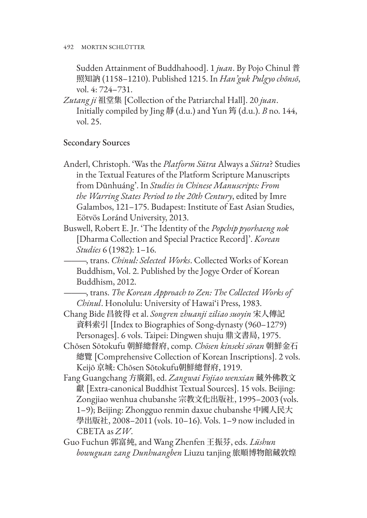Sudden Attainment of Buddhahood]. 1 *juan*. By Pojo Chinul 普 照知訥 (1158–1210). Published 1215. In *Han'guk Pulgyo chŏnsŏ*, vol. 4: 724–731.

*Zutang ji* 祖堂集 [Collection of the Patriarchal Hall]. 20 *juan*. Initially compiled by Jing 靜 (d.u.) and Yun 筠 (d.u.). *B* no. 144, vol. 25.

## Secondary Sources

Anderl, Christoph. 'Was the *Platform Sūtra* Always a *Sūtra*? Studies in the Textual Features of the Platform Scripture Manuscripts from Dūnhuáng'. In *Studies in Chinese Manuscripts: From the Warring States Period to the 20th Century*, edited by Imre Galambos, 121–175. Budapest: Institute of East Asian Studies, Eötvös Loránd University, 2013.

Buswell, Robert E. Jr. 'The Identity of the *Popchip pyorhaeng nok* [Dharma Collection and Special Practice Record]'. *Korean Studies* 6 (1982): 1–16.

———, trans. *Chinul: Selected Works*. Collected Works of Korean Buddhism, Vol. 2. Published by the Jogye Order of Korean Buddhism, 2012.

———, trans. *The Korean Approach to Zen: The Collected Works of Chinul*. Honolulu: University of Hawai'i Press, 1983.

Chang Bide 昌彼得 et al. *Songren zhuanji ziliao suoyin* 宋人傳記 資料索引 [Index to Biographies of Song-dynasty (960–1279) Personages]. 6 vols. Taipei: Dingwen shuju 鼎文書局, 1975.

Chōsen Sōtokufu 朝鮮總督府, comp. *Chōsen kinseki sōran* 朝鮮金石 總覽 [Comprehensive Collection of Korean Inscriptions]. 2 vols. Keijō 京城: Chōsen Sōtokufu朝鮮總督府, 1919.

Fang Guangchang 方廣錩, ed. *Zangwai Fojiao wenxian* 藏外佛教文 獻 [Extra-canonical Buddhist Textual Sources]. 15 vols. Beijing: Zongjiao wenhua chubanshe 宗教文化出版社, 1995–2003 (vols. 1–9); Beijing: Zhongguo renmin daxue chubanshe 中國人民大 學出版社, 2008–2011 (vols. 10–16). Vols. 1–9 now included in CBETA as *ZW*.

Guo Fuchun 郭富純, and Wang Zhenfen 王振芬, eds. *Lüshun bowuguan zang Dunhuangben* Liuzu tanjing 旅順博物館藏敦煌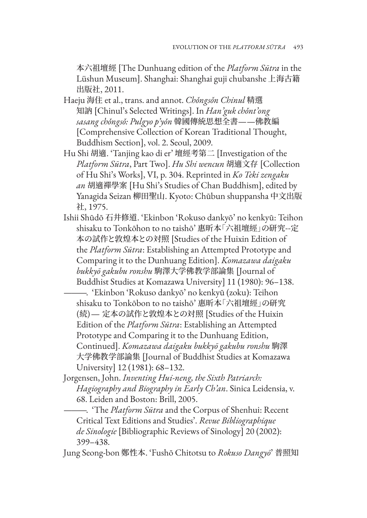本六祖壇經 [The Dunhuang edition of the *Platform Sūtra* in the Lüshun Museum]. Shanghai: Shanghai guji chubanshe 上海古籍 出版社, 2011.

- Haeju 海住 et al., trans. and annot. *Chǒngsǒn Chinul* 精選 知訥 [Chinul's Selected Writings]. In *Han'guk chǒnt'ong sasang chǒngsǒ: Pulgyo p'yǒn* 韓國傳統思想全書——佛教編 [Comprehensive Collection of Korean Traditional Thought, Buddhism Section], vol. 2. Seoul, 2009.
- Hu Shi 胡適. 'Tanjing kao di er' 壇經考第二 [Investigation of the *Platform Sūtra*, Part Two]. *Hu Shi wencun* 胡適文存 [Collection of Hu Shi's Works], VI, p. 304. Reprinted in *Ko Teki zengaku an* 胡適禪學案 [Hu Shi's Studies of Chan Buddhism], edited by Yanagida Seizan 柳田聖山. Kyoto: Chūbun shuppansha 中文出版 社, 1975.
- Ishii Shūdō 石井修道. 'Ekinbon 'Rokuso dankyō' no kenkyū: Teihon shisaku to Tonkōhon to no taishō' 惠昕本「六祖壇經」の研究--定 本の試作と敦煌本との対照 [Studies of the Huixin Edition of the *Platform Sūtra*: Establishing an Attempted Prototype and Comparing it to the Dunhuang Edition]. *Komazawa daigaku bukkyō gakubu ronshu* 駒澤大学佛教学部論集 [Journal of Buddhist Studies at Komazawa University] 11 (1980): 96–138.

———. 'Ekinbon 'Rokuso dankyō' no kenkyū (zoku): Teihon shisaku to Tonkōbon to no taishō' 惠昕本「六祖壇經」の研究 (続)– 定本の試作と敦煌本との対照 [Studies of the Huixin Edition of the *Platform Sūtra*: Establishing an Attempted Prototype and Comparing it to the Dunhuang Edition, Continued]. *Komazawa daigaku bukkyō gakubu ronshu* 駒澤 大学佛教学部論集 [Journal of Buddhist Studies at Komazawa University] 12 (1981): 68–132.

Jorgensen, John. *Inventing Hui-neng, the Sixth Patriarch: Hagiography and Biography in Early Ch'an*. Sinica Leidensia, v. 68. Leiden and Boston: Brill, 2005.

———. 'The *Platform Sūtra* and the Corpus of Shenhui: Recent Critical Text Editions and Studies'. *Revue Bibliographique de Sinologie* [Bibliographic Reviews of Sinology] 20 (2002): 399–438.

Jung Seong-bon 鄭性本. 'Fushō Chitotsu to *Rokuso Dangyō*' 普照知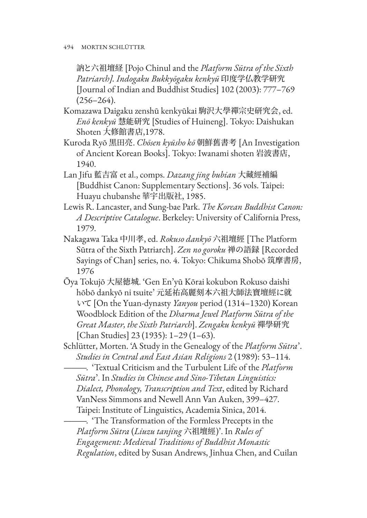訥と六祖壇経 [Pojo Chinul and the *Platform Sūtra of the Sixth Patriarch]. Indogaku Bukkyōgaku kenkyū* 印度学仏教学研究 [Journal of Indian and Buddhist Studies] 102 (2003): 777–769  $(256 - 264)$ .

- Komazawa Daigaku zenshū kenkyūkai 駒沢大學禪宗史研究会, ed. *Enō kenkyū* 慧能研究 [Studies of Huineng]. Tokyo: Daishukan Shoten 大修館書店,1978.
- Kuroda Ryō 黒田亮. *Chōsen kyūsho kō* 朝鮮舊書考 [An Investigation of Ancient Korean Books]. Tokyo: Iwanami shoten 岩波書店, 1940.
- Lan Jifu 藍吉富 et al., comps. *Dazang jing bubian* 大藏經補編 [Buddhist Canon: Supplementary Sections]. 36 vols. Taipei: Huayu chubanshe 華宇出版社, 1985.
- Lewis R. Lancaster, and Sung-bae Park. *The Korean Buddhist Canon: A Descriptive Catalogue*. Berkeley: University of California Press, 1979.
- Nakagawa Taka 中川孝, ed. *Rokuso dankyō* 六祖壇經 [The Platform Sūtra of the Sixth Patriarch]. *Zen no goroku* 禅の語録 [Recorded Sayings of Chan] series, no. 4. Tokyo: Chikuma Shobō 筑摩書房, 1976
- Ōya Tokujō 大屋徳城. 'Gen En'yū Kōrai kokubon Rokuso daishi hōbō dankyō ni tsuite' 元延祐高麗刻本六祖大師法寶壇經に就 いて [On the Yuan-dynasty *Yanyou* period (1314–1320) Korean Woodblock Edition of the *Dharma Jewel Platform Sūtra of the Great Master, the Sixth Patriarch*]. *Zengaku kenkyū* 禪學研究 [Chan Studies] 23 (1935): 1–29 (1–63).
- Schlütter, Morten. 'A Study in the Genealogy of the *Platform Sūtra*'. *Studies in Central and East Asian Religions* 2 (1989): 53–114.
- ———. 'Textual Criticism and the Turbulent Life of the *Platform Sūtra*'. In *Studies in Chinese and Sino-Tibetan Linguistics: Dialect, Phonology, Transcription and Text*, edited by Richard VanNess Simmons and Newell Ann Van Auken, 399–427. Taipei: Institute of Linguistics, Academia Sinica, 2014.

———. 'The Transformation of the Formless Precepts in the *Platform Sūtra* (*Liuzu tanjing* 六祖壇經)'. In *Rules of Engagement: Medieval Traditions of Buddhist Monastic Regulation*, edited by Susan Andrews, Jinhua Chen, and Cuilan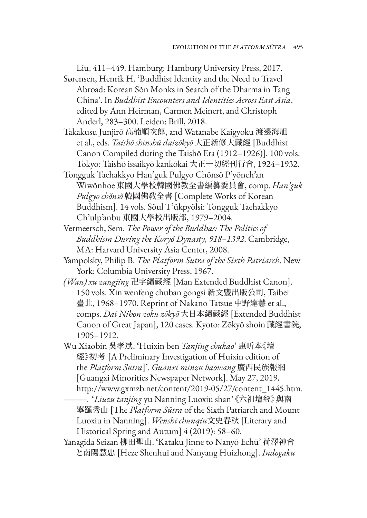Liu, 411–449. Hamburg: Hamburg University Press, 2017. Sørensen, Henrik H. 'Buddhist Identity and the Need to Travel

- Abroad: Korean Sŏn Monks in Search of the Dharma in Tang China'. In *Buddhist Encounters and Identities Across East Asia*, edited by Ann Heirman, Carmen Meinert, and Christoph Anderl, 283–300. Leiden: Brill, 2018.
- Takakusu Junjirō 高楠順次郎, and Watanabe Kaigyoku 渡邊海旭 et al., eds. *Taishō shinshū daizōkyō* 大正新修大藏經 [Buddhist Canon Compiled during the Taishō Era (1912–1926)]. 100 vols. Tokyo: Taishō issaikyō kankōkai 大正一切經刊行會, 1924–1932.
- Tongguk Taehakkyo Han'guk Pulgyo Chŏnsŏ P'yŏnch'an Wiwŏnhoe 東國大學校韓國佛教全書編籑委員會, comp. *Han'guk Pulgyo chŏnsŏ* 韓國佛敎全書 [Complete Works of Korean Buddhism]. 14 vols. Sŏul T'ŭkpyŏlsi: Tongguk Taehakkyo Ch'ulp'anbu 東國大學校出版部, 1979–2004.
- Vermeersch, Sem. *The Power of the Buddhas: The Politics of Buddhism During the Koryŏ Dynasty, 918–1392*. Cambridge, MA: Harvard University Asia Center, 2008.
- Yampolsky, Philip B. *The Platform Sutra of the Sixth Patriarch*. New York: Columbia University Press, 1967.
- *(Wan) xu zangjing* 卍字續藏經 [Man Extended Buddhist Canon]. 150 vols. Xin wenfeng chuban gongsi 新文豐出版公司, Taibei 臺北, 1968–1970. Reprint of Nakano Tatsue 中野達慧 et al., comps. *Dai Nihon zoku zōkyō* 大日本續藏經 [Extended Buddhist Canon of Great Japan], 120 cases. Kyoto: Zōkyō shoin 藏經書院, 1905–1912.
- Wu Xiaobin 吳孝斌. 'Huixin ben *Tanjing chukao*' 惠昕本《壇 經》初考 [A Preliminary Investigation of Huixin edition of the *Platform Sūtra*]'. *Guanxi minzu baowang* 廣西民族報網 [Guangxi Minorities Newspaper Network]. May 27, 2019. http://www.gxmzb.net/content/2019-05/27/content\_1445.htm.
	- ———. '*Liuzu tanjing* yu Nanning Luoxiu shan' 《六祖壇經》與南 寧羅秀山 [The *Platform Sūtra* of the Sixth Patriarch and Mount Luoxiu in Nanning]. *Wenshi chunqiu*文史春秋 [Literary and Historical Spring and Autum] 4 (2019): 58–60.
- Yanagida Seizan 柳田聖山. 'Kataku Jinne to Nanyō Echū' 荷澤神會 と南陽慧忠 [Heze Shenhui and Nanyang Huizhong]. *Indogaku*